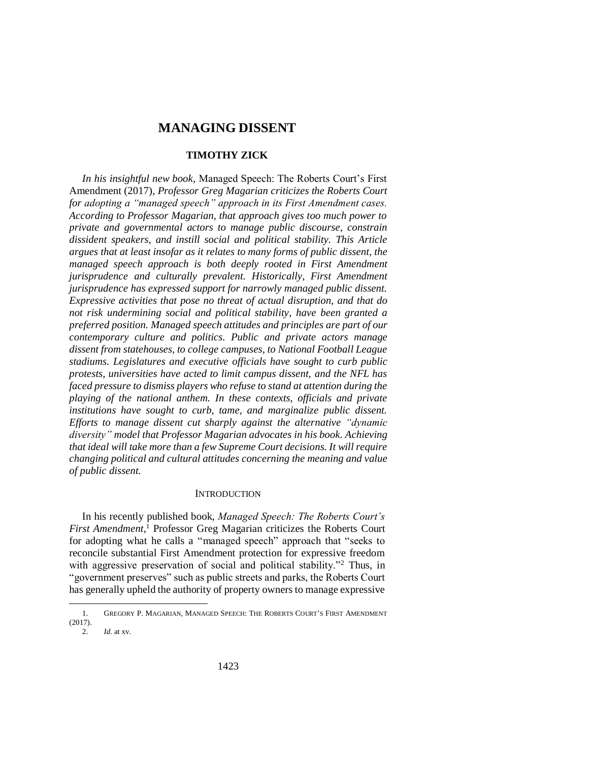# **MANAGING DISSENT**

# **TIMOTHY ZICK**

*In his insightful new book,* Managed Speech: The Roberts Court's First Amendment (2017)*, Professor Greg Magarian criticizes the Roberts Court for adopting a "managed speech" approach in its First Amendment cases. According to Professor Magarian, that approach gives too much power to private and governmental actors to manage public discourse, constrain dissident speakers, and instill social and political stability. This Article argues that at least insofar as it relates to many forms of public dissent, the managed speech approach is both deeply rooted in First Amendment jurisprudence and culturally prevalent. Historically, First Amendment jurisprudence has expressed support for narrowly managed public dissent. Expressive activities that pose no threat of actual disruption, and that do not risk undermining social and political stability, have been granted a preferred position. Managed speech attitudes and principles are part of our contemporary culture and politics. Public and private actors manage dissent from statehouses, to college campuses, to National Football League stadiums. Legislatures and executive officials have sought to curb public protests, universities have acted to limit campus dissent, and the NFL has faced pressure to dismiss players who refuse to stand at attention during the playing of the national anthem. In these contexts, officials and private institutions have sought to curb, tame, and marginalize public dissent. Efforts to manage dissent cut sharply against the alternative "dynamic diversity" model that Professor Magarian advocates in his book. Achieving that ideal will take more than a few Supreme Court decisions. It will require changing political and cultural attitudes concerning the meaning and value of public dissent.*

### <span id="page-0-0"></span>**INTRODUCTION**

In his recently published book, *Managed Speech: The Roberts Court's First Amendment*, <sup>1</sup> Professor Greg Magarian criticizes the Roberts Court for adopting what he calls a "managed speech" approach that "seeks to reconcile substantial First Amendment protection for expressive freedom with aggressive preservation of social and political stability."<sup>2</sup> Thus, in "government preserves" such as public streets and parks, the Roberts Court has generally upheld the authority of property owners to manage expressive

<sup>1.</sup> GREGORY P. MAGARIAN, MANAGED SPEECH: THE ROBERTS COURT'S FIRST AMENDMENT (2017).

<sup>2.</sup> *Id.* at xv.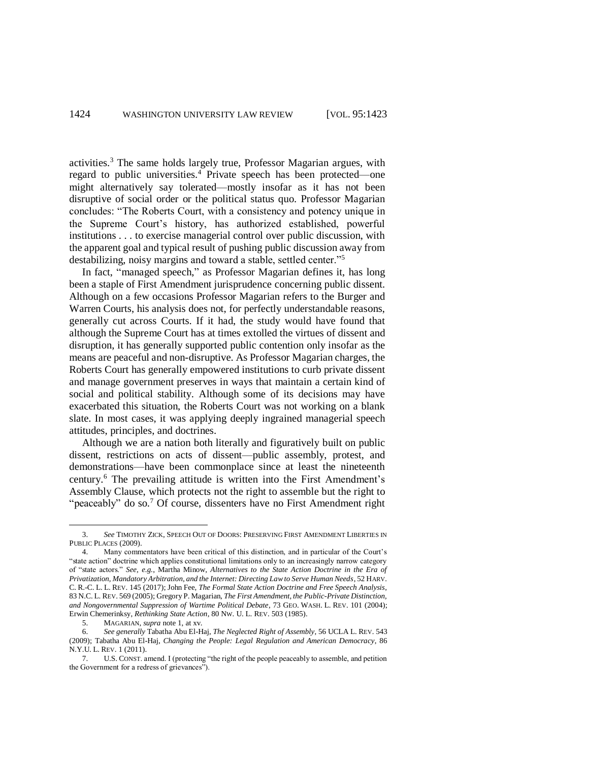<span id="page-1-0"></span>activities.<sup>3</sup> The same holds largely true, Professor Magarian argues, with regard to public universities.<sup>4</sup> Private speech has been protected—one might alternatively say tolerated—mostly insofar as it has not been disruptive of social order or the political status quo. Professor Magarian concludes: "The Roberts Court, with a consistency and potency unique in the Supreme Court's history, has authorized established, powerful institutions . . . to exercise managerial control over public discussion, with the apparent goal and typical result of pushing public discussion away from destabilizing, noisy margins and toward a stable, settled center."<sup>5</sup>

In fact, "managed speech," as Professor Magarian defines it, has long been a staple of First Amendment jurisprudence concerning public dissent. Although on a few occasions Professor Magarian refers to the Burger and Warren Courts, his analysis does not, for perfectly understandable reasons, generally cut across Courts. If it had, the study would have found that although the Supreme Court has at times extolled the virtues of dissent and disruption, it has generally supported public contention only insofar as the means are peaceful and non-disruptive. As Professor Magarian charges, the Roberts Court has generally empowered institutions to curb private dissent and manage government preserves in ways that maintain a certain kind of social and political stability. Although some of its decisions may have exacerbated this situation, the Roberts Court was not working on a blank slate. In most cases, it was applying deeply ingrained managerial speech attitudes, principles, and doctrines.

Although we are a nation both literally and figuratively built on public dissent, restrictions on acts of dissent—public assembly, protest, and demonstrations—have been commonplace since at least the nineteenth century.<sup>6</sup> The prevailing attitude is written into the First Amendment's Assembly Clause, which protects not the right to assemble but the right to "peaceably" do so.<sup>7</sup> Of course, dissenters have no First Amendment right

<sup>3.</sup> *See* TIMOTHY ZICK, SPEECH OUT OF DOORS: PRESERVING FIRST AMENDMENT LIBERTIES IN PUBLIC PLACES (2009).

<sup>4.</sup> Many commentators have been critical of this distinction, and in particular of the Court's "state action" doctrine which applies constitutional limitations only to an increasingly narrow category of "state actors." *See, e.g.*, Martha Minow, *Alternatives to the State Action Doctrine in the Era of Privatization, Mandatory Arbitration, and the Internet: Directing Law to Serve Human Needs*, 52 HARV. C. R.-C. L. L. REV. 145 (2017); John Fee, *The Formal State Action Doctrine and Free Speech Analysis*, 83 N.C. L. REV. 569 (2005); Gregory P. Magarian, *The First Amendment, the Public-Private Distinction, and Nongovernmental Suppression of Wartime Political Debate*, 73 GEO. WASH. L. REV. 101 (2004); Erwin Chemerinksy, *Rethinking State Action*, 80 NW. U. L. REV. 503 (1985).

<sup>5.</sup> MAGARIAN, *supra* note [1,](#page-0-0) at xv.

<sup>6.</sup> *See generally* Tabatha Abu El-Haj, *The Neglected Right of Assembly*, 56 UCLA L. REV. 543 (2009); Tabatha Abu El-Haj, *Changing the People: Legal Regulation and American Democracy*, 86 N.Y.U. L. REV. 1 (2011).

<sup>7.</sup> U.S. CONST. amend. I (protecting "the right of the people peaceably to assemble, and petition the Government for a redress of grievances").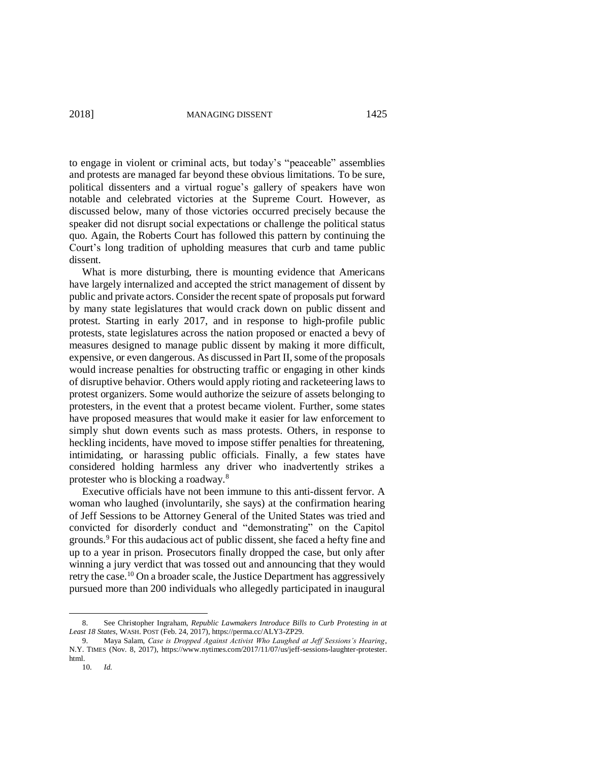to engage in violent or criminal acts, but today's "peaceable" assemblies and protests are managed far beyond these obvious limitations. To be sure, political dissenters and a virtual rogue's gallery of speakers have won notable and celebrated victories at the Supreme Court. However, as discussed below, many of those victories occurred precisely because the speaker did not disrupt social expectations or challenge the political status quo. Again, the Roberts Court has followed this pattern by continuing the Court's long tradition of upholding measures that curb and tame public dissent.

What is more disturbing, there is mounting evidence that Americans have largely internalized and accepted the strict management of dissent by public and private actors. Consider the recent spate of proposals put forward by many state legislatures that would crack down on public dissent and protest. Starting in early 2017, and in response to high-profile public protests, state legislatures across the nation proposed or enacted a bevy of measures designed to manage public dissent by making it more difficult, expensive, or even dangerous. As discussed in Part II, some of the proposals would increase penalties for obstructing traffic or engaging in other kinds of disruptive behavior. Others would apply rioting and racketeering laws to protest organizers. Some would authorize the seizure of assets belonging to protesters, in the event that a protest became violent. Further, some states have proposed measures that would make it easier for law enforcement to simply shut down events such as mass protests. Others, in response to heckling incidents, have moved to impose stiffer penalties for threatening, intimidating, or harassing public officials. Finally, a few states have considered holding harmless any driver who inadvertently strikes a protester who is blocking a roadway.<sup>8</sup>

Executive officials have not been immune to this anti-dissent fervor. A woman who laughed (involuntarily, she says) at the confirmation hearing of Jeff Sessions to be Attorney General of the United States was tried and convicted for disorderly conduct and "demonstrating" on the Capitol grounds.<sup>9</sup> For this audacious act of public dissent, she faced a hefty fine and up to a year in prison. Prosecutors finally dropped the case, but only after winning a jury verdict that was tossed out and announcing that they would retry the case.<sup>10</sup> On a broader scale, the Justice Department has aggressively pursued more than 200 individuals who allegedly participated in inaugural

<sup>8.</sup> See Christopher Ingraham, *Republic Lawmakers Introduce Bills to Curb Protesting in at Least 18 States*, WASH. POST (Feb. 24, 2017), https://perma.cc/ALY3-ZP29.

<sup>9.</sup> Maya Salam, *Case is Dropped Against Activist Who Laughed at Jeff Sessions's Hearing*, N.Y. TIMES (Nov. 8, 2017), https://www.nytimes.com/2017/11/07/us/jeff-sessions-laughter-protester. html.

<sup>10.</sup> *Id.*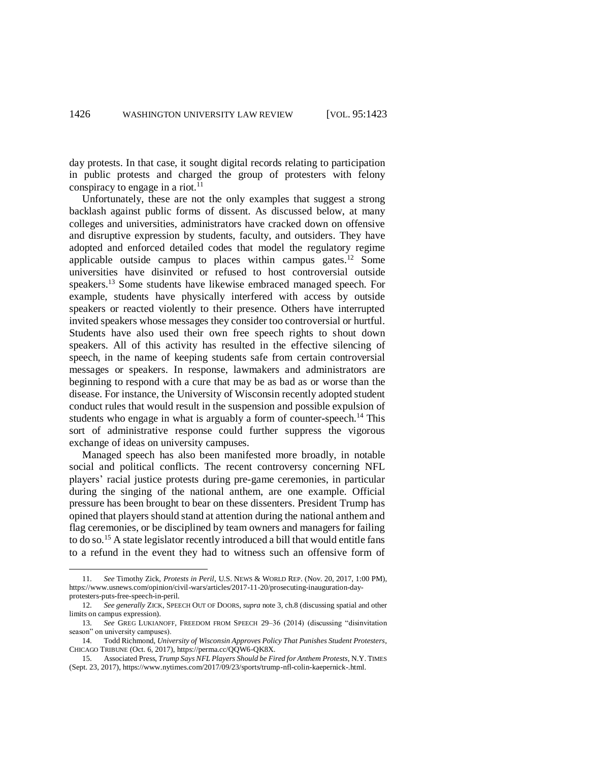day protests. In that case, it sought digital records relating to participation in public protests and charged the group of protesters with felony conspiracy to engage in a riot. $^{11}$ 

<span id="page-3-1"></span><span id="page-3-0"></span>Unfortunately, these are not the only examples that suggest a strong backlash against public forms of dissent. As discussed below, at many colleges and universities, administrators have cracked down on offensive and disruptive expression by students, faculty, and outsiders. They have adopted and enforced detailed codes that model the regulatory regime applicable outside campus to places within campus gates.<sup>12</sup> Some universities have disinvited or refused to host controversial outside speakers.<sup>13</sup> Some students have likewise embraced managed speech. For example, students have physically interfered with access by outside speakers or reacted violently to their presence. Others have interrupted invited speakers whose messages they consider too controversial or hurtful. Students have also used their own free speech rights to shout down speakers. All of this activity has resulted in the effective silencing of speech, in the name of keeping students safe from certain controversial messages or speakers. In response, lawmakers and administrators are beginning to respond with a cure that may be as bad as or worse than the disease. For instance, the University of Wisconsin recently adopted student conduct rules that would result in the suspension and possible expulsion of students who engage in what is arguably a form of counter-speech.<sup>14</sup> This sort of administrative response could further suppress the vigorous exchange of ideas on university campuses.

Managed speech has also been manifested more broadly, in notable social and political conflicts. The recent controversy concerning NFL players' racial justice protests during pre-game ceremonies, in particular during the singing of the national anthem, are one example. Official pressure has been brought to bear on these dissenters. President Trump has opined that players should stand at attention during the national anthem and flag ceremonies, or be disciplined by team owners and managers for failing to do so.<sup>15</sup> A state legislator recently introduced a bill that would entitle fans to a refund in the event they had to witness such an offensive form of

<sup>11.</sup> *See* Timothy Zick, *Protests in Peril*, U.S. NEWS & WORLD REP. (Nov. 20, 2017, 1:00 PM), https://www.usnews.com/opinion/civil-wars/articles/2017-11-20/prosecuting-inauguration-dayprotesters-puts-free-speech-in-peril.

<sup>12.</sup> *See generally* ZICK, SPEECH OUT OF DOORS, *supra* not[e 3,](#page-1-0) ch.8 (discussing spatial and other limits on campus expression).

<sup>13.</sup> *See* GREG LUKIANOFF, FREEDOM FROM SPEECH 29–36 (2014) (discussing "disinvitation season" on university campuses).

<sup>14.</sup> Todd Richmond, *University of Wisconsin Approves Policy That Punishes Student Protesters*, CHICAGO TRIBUNE (Oct. 6, 2017), https://perma.cc/QQW6-QK8X.

<sup>15.</sup> Associated Press, *Trump Says NFL Players Should be Fired for Anthem Protests*, N.Y. TIMES (Sept. 23, 2017), https://www.nytimes.com/2017/09/23/sports/trump-nfl-colin-kaepernick-.html.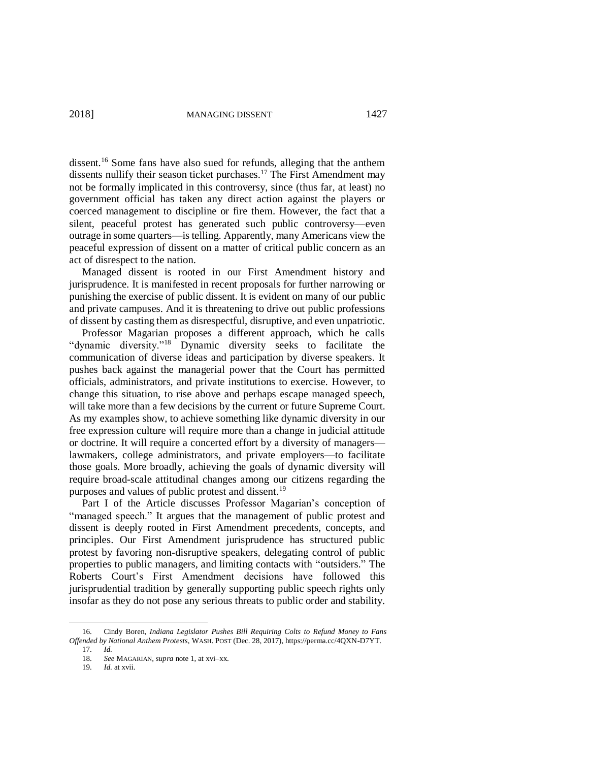dissent.<sup>16</sup> Some fans have also sued for refunds, alleging that the anthem dissents nullify their season ticket purchases.<sup>17</sup> The First Amendment may not be formally implicated in this controversy, since (thus far, at least) no government official has taken any direct action against the players or coerced management to discipline or fire them. However, the fact that a silent, peaceful protest has generated such public controversy—even outrage in some quarters—is telling. Apparently, many Americans view the peaceful expression of dissent on a matter of critical public concern as an act of disrespect to the nation.

Managed dissent is rooted in our First Amendment history and jurisprudence. It is manifested in recent proposals for further narrowing or punishing the exercise of public dissent. It is evident on many of our public and private campuses. And it is threatening to drive out public professions of dissent by casting them as disrespectful, disruptive, and even unpatriotic.

Professor Magarian proposes a different approach, which he calls "dynamic diversity."<sup>18</sup> Dynamic diversity seeks to facilitate the communication of diverse ideas and participation by diverse speakers. It pushes back against the managerial power that the Court has permitted officials, administrators, and private institutions to exercise. However, to change this situation, to rise above and perhaps escape managed speech, will take more than a few decisions by the current or future Supreme Court. As my examples show, to achieve something like dynamic diversity in our free expression culture will require more than a change in judicial attitude or doctrine. It will require a concerted effort by a diversity of managers lawmakers, college administrators, and private employers—to facilitate those goals. More broadly, achieving the goals of dynamic diversity will require broad-scale attitudinal changes among our citizens regarding the purposes and values of public protest and dissent.<sup>19</sup>

Part I of the Article discusses Professor Magarian's conception of "managed speech." It argues that the management of public protest and dissent is deeply rooted in First Amendment precedents, concepts, and principles. Our First Amendment jurisprudence has structured public protest by favoring non-disruptive speakers, delegating control of public properties to public managers, and limiting contacts with "outsiders." The Roberts Court's First Amendment decisions have followed this jurisprudential tradition by generally supporting public speech rights only insofar as they do not pose any serious threats to public order and stability.

<sup>16.</sup> Cindy Boren, *Indiana Legislator Pushes Bill Requiring Colts to Refund Money to Fans Offended by National Anthem Protests*, WASH. POST (Dec. 28, 2017), https://perma.cc/4QXN-D7YT.

<sup>17.</sup> *Id.* 

<sup>18.</sup> *See* MAGARIAN, *supra* not[e 1,](#page-0-0) at xvi–xx.

<sup>19.</sup> *Id.* at xvii.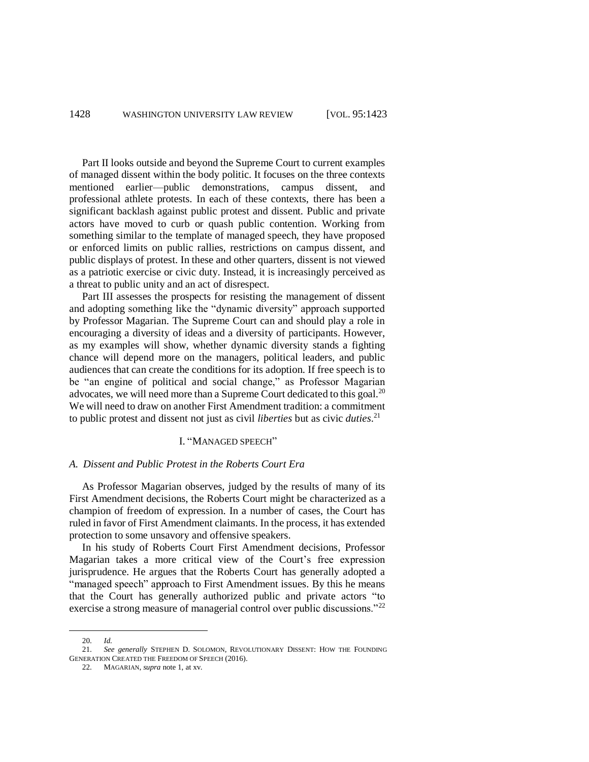Part II looks outside and beyond the Supreme Court to current examples of managed dissent within the body politic. It focuses on the three contexts mentioned earlier—public demonstrations, campus dissent, and professional athlete protests. In each of these contexts, there has been a significant backlash against public protest and dissent. Public and private actors have moved to curb or quash public contention. Working from something similar to the template of managed speech, they have proposed or enforced limits on public rallies, restrictions on campus dissent, and public displays of protest. In these and other quarters, dissent is not viewed as a patriotic exercise or civic duty. Instead, it is increasingly perceived as a threat to public unity and an act of disrespect.

Part III assesses the prospects for resisting the management of dissent and adopting something like the "dynamic diversity" approach supported by Professor Magarian. The Supreme Court can and should play a role in encouraging a diversity of ideas and a diversity of participants. However, as my examples will show, whether dynamic diversity stands a fighting chance will depend more on the managers, political leaders, and public audiences that can create the conditions for its adoption. If free speech is to be "an engine of political and social change," as Professor Magarian advocates, we will need more than a Supreme Court dedicated to this goal.<sup>20</sup> We will need to draw on another First Amendment tradition: a commitment to public protest and dissent not just as civil *liberties* but as civic *duties*. 21

### I. "MANAGED SPEECH"

### *A. Dissent and Public Protest in the Roberts Court Era*

As Professor Magarian observes, judged by the results of many of its First Amendment decisions, the Roberts Court might be characterized as a champion of freedom of expression. In a number of cases, the Court has ruled in favor of First Amendment claimants. In the process, it has extended protection to some unsavory and offensive speakers.

In his study of Roberts Court First Amendment decisions, Professor Magarian takes a more critical view of the Court's free expression jurisprudence. He argues that the Roberts Court has generally adopted a "managed speech" approach to First Amendment issues. By this he means that the Court has generally authorized public and private actors "to exercise a strong measure of managerial control over public discussions."<sup>22</sup>

<sup>20.</sup> *Id.* 

<sup>21.</sup> *See generally* STEPHEN D. SOLOMON, REVOLUTIONARY DISSENT: HOW THE FOUNDING GENERATION CREATED THE FREEDOM OF SPEECH (2016).

<sup>22.</sup> MAGARIAN, *supra* note [1,](#page-0-0) at xv.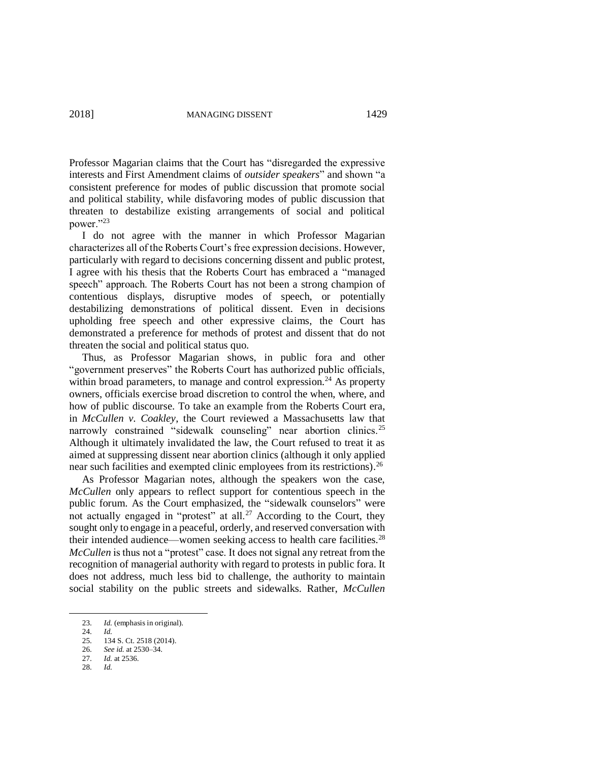Professor Magarian claims that the Court has "disregarded the expressive interests and First Amendment claims of *outsider speakers*" and shown "a consistent preference for modes of public discussion that promote social and political stability, while disfavoring modes of public discussion that threaten to destabilize existing arrangements of social and political power."<sup>23</sup>

I do not agree with the manner in which Professor Magarian characterizes all of the Roberts Court's free expression decisions. However, particularly with regard to decisions concerning dissent and public protest, I agree with his thesis that the Roberts Court has embraced a "managed speech" approach. The Roberts Court has not been a strong champion of contentious displays, disruptive modes of speech, or potentially destabilizing demonstrations of political dissent. Even in decisions upholding free speech and other expressive claims, the Court has demonstrated a preference for methods of protest and dissent that do not threaten the social and political status quo.

Thus, as Professor Magarian shows, in public fora and other "government preserves" the Roberts Court has authorized public officials, within broad parameters, to manage and control expression.<sup>24</sup> As property owners, officials exercise broad discretion to control the when, where, and how of public discourse. To take an example from the Roberts Court era, in *McCullen v. Coakley*, the Court reviewed a Massachusetts law that narrowly constrained "sidewalk counseling" near abortion clinics.<sup>25</sup> Although it ultimately invalidated the law, the Court refused to treat it as aimed at suppressing dissent near abortion clinics (although it only applied near such facilities and exempted clinic employees from its restrictions).<sup>26</sup>

As Professor Magarian notes, although the speakers won the case, *McCullen* only appears to reflect support for contentious speech in the public forum. As the Court emphasized, the "sidewalk counselors" were not actually engaged in "protest" at all.<sup>27</sup> According to the Court, they sought only to engage in a peaceful, orderly, and reserved conversation with their intended audience—women seeking access to health care facilities.<sup>28</sup> *McCullen* is thus not a "protest" case. It does not signal any retreat from the recognition of managerial authority with regard to protests in public fora. It does not address, much less bid to challenge, the authority to maintain social stability on the public streets and sidewalks. Rather, *McCullen*

<sup>23.</sup> *Id.* (emphasis in original).

<sup>24.</sup> *Id.*

<sup>134</sup> S. Ct. 2518 (2014).

<sup>26.</sup> *See id.* at 2530–34.

<sup>27.</sup> *Id.* at 2536.

<sup>28.</sup> *Id.*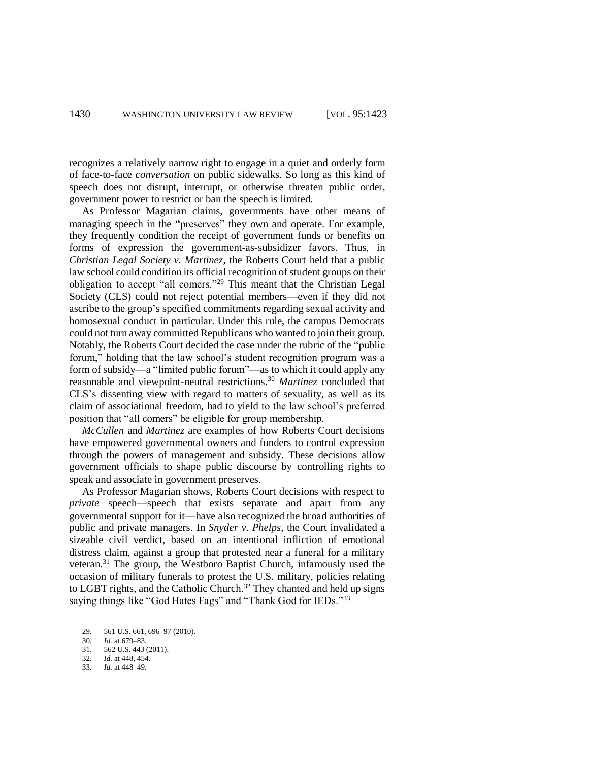recognizes a relatively narrow right to engage in a quiet and orderly form of face-to-face *conversation* on public sidewalks. So long as this kind of speech does not disrupt, interrupt, or otherwise threaten public order, government power to restrict or ban the speech is limited.

As Professor Magarian claims, governments have other means of managing speech in the "preserves" they own and operate. For example, they frequently condition the receipt of government funds or benefits on forms of expression the government-as-subsidizer favors. Thus, in *Christian Legal Society v. Martinez*, the Roberts Court held that a public law school could condition its official recognition of student groups on their obligation to accept "all comers."<sup>29</sup> This meant that the Christian Legal Society (CLS) could not reject potential members—even if they did not ascribe to the group's specified commitments regarding sexual activity and homosexual conduct in particular. Under this rule, the campus Democrats could not turn away committed Republicans who wanted to join their group. Notably, the Roberts Court decided the case under the rubric of the "public forum," holding that the law school's student recognition program was a form of subsidy—a "limited public forum"—as to which it could apply any reasonable and viewpoint-neutral restrictions.<sup>30</sup> *Martinez* concluded that CLS's dissenting view with regard to matters of sexuality, as well as its claim of associational freedom, had to yield to the law school's preferred position that "all comers" be eligible for group membership.

*McCullen* and *Martinez* are examples of how Roberts Court decisions have empowered governmental owners and funders to control expression through the powers of management and subsidy. These decisions allow government officials to shape public discourse by controlling rights to speak and associate in government preserves.

As Professor Magarian shows, Roberts Court decisions with respect to *private* speech—speech that exists separate and apart from any governmental support for it—have also recognized the broad authorities of public and private managers. In *Snyder v. Phelps*, the Court invalidated a sizeable civil verdict, based on an intentional infliction of emotional distress claim, against a group that protested near a funeral for a military veteran.<sup>31</sup> The group, the Westboro Baptist Church, infamously used the occasion of military funerals to protest the U.S. military, policies relating to LGBT rights, and the Catholic Church.<sup>32</sup> They chanted and held up signs saying things like "God Hates Fags" and "Thank God for IEDs."<sup>33</sup>

<sup>29. 561</sup> U.S. 661, 696–97 (2010).<br>30 Id at 679–83

*Id.* at 679–83.

<sup>31.</sup> 562 U.S. 443 (2011).

<sup>32.</sup> *Id.* at 448, 454.

<sup>33.</sup> *Id.* at 448–49.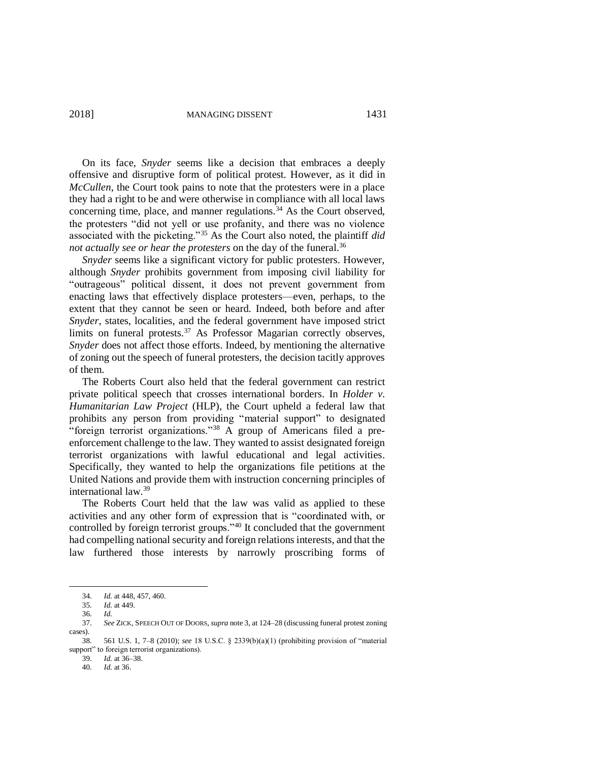On its face, *Snyder* seems like a decision that embraces a deeply offensive and disruptive form of political protest. However, as it did in *McCullen*, the Court took pains to note that the protesters were in a place they had a right to be and were otherwise in compliance with all local laws concerning time, place, and manner regulations. <sup>34</sup> As the Court observed, the protesters "did not yell or use profanity, and there was no violence associated with the picketing."<sup>35</sup> As the Court also noted, the plaintiff *did not actually see or hear the protesters* on the day of the funeral.<sup>36</sup>

*Snyder* seems like a significant victory for public protesters. However, although *Snyder* prohibits government from imposing civil liability for "outrageous" political dissent, it does not prevent government from enacting laws that effectively displace protesters—even, perhaps, to the extent that they cannot be seen or heard. Indeed, both before and after *Snyder*, states, localities, and the federal government have imposed strict limits on funeral protests.<sup>37</sup> As Professor Magarian correctly observes, *Snyder* does not affect those efforts. Indeed, by mentioning the alternative of zoning out the speech of funeral protesters, the decision tacitly approves of them.

The Roberts Court also held that the federal government can restrict private political speech that crosses international borders. In *Holder v. Humanitarian Law Project* (HLP), the Court upheld a federal law that prohibits any person from providing "material support" to designated "foreign terrorist organizations."<sup>38</sup> A group of Americans filed a preenforcement challenge to the law. They wanted to assist designated foreign terrorist organizations with lawful educational and legal activities. Specifically, they wanted to help the organizations file petitions at the United Nations and provide them with instruction concerning principles of international law.<sup>39</sup>

The Roberts Court held that the law was valid as applied to these activities and any other form of expression that is "coordinated with, or controlled by foreign terrorist groups."<sup>40</sup> It concluded that the government had compelling national security and foreign relations interests, and that the law furthered those interests by narrowly proscribing forms of

 $\overline{a}$ 

39. *Id.* at 36–38.

<sup>34.</sup> *Id.* at 448, 457, 460.

*Id.* at 449.

<sup>36.</sup> *Id.* 

<sup>37.</sup> *See* ZICK, SPEECH OUT OF DOORS, *supra* note 3, at 124–28 (discussing funeral protest zoning cases).

<sup>38.</sup> 561 U.S. 1, 7–8 (2010); *see* 18 U.S.C. § 2339(b)(a)(1) (prohibiting provision of "material support" to foreign terrorist organizations).

<sup>40.</sup> *Id.* at 36.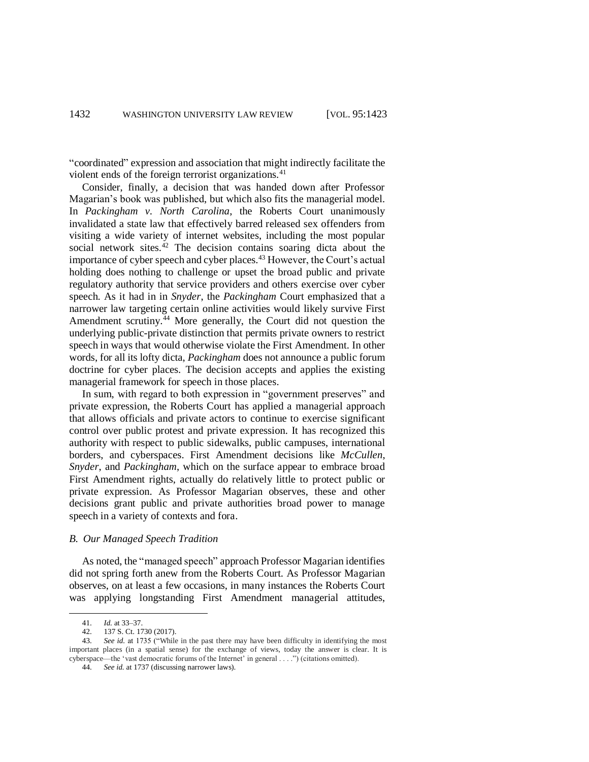"coordinated" expression and association that might indirectly facilitate the violent ends of the foreign terrorist organizations.<sup>41</sup>

Consider, finally, a decision that was handed down after Professor Magarian's book was published, but which also fits the managerial model. In *Packingham v. North Carolina*, the Roberts Court unanimously invalidated a state law that effectively barred released sex offenders from visiting a wide variety of internet websites, including the most popular social network sites.<sup>42</sup> The decision contains soaring dicta about the importance of cyber speech and cyber places.<sup>43</sup> However, the Court's actual holding does nothing to challenge or upset the broad public and private regulatory authority that service providers and others exercise over cyber speech. As it had in in *Snyder*, the *Packingham* Court emphasized that a narrower law targeting certain online activities would likely survive First Amendment scrutiny.<sup>44</sup> More generally, the Court did not question the underlying public-private distinction that permits private owners to restrict speech in ways that would otherwise violate the First Amendment. In other words, for all its lofty dicta, *Packingham* does not announce a public forum doctrine for cyber places. The decision accepts and applies the existing managerial framework for speech in those places.

In sum, with regard to both expression in "government preserves" and private expression, the Roberts Court has applied a managerial approach that allows officials and private actors to continue to exercise significant control over public protest and private expression. It has recognized this authority with respect to public sidewalks, public campuses, international borders, and cyberspaces. First Amendment decisions like *McCullen*, *Snyder*, and *Packingham*, which on the surface appear to embrace broad First Amendment rights, actually do relatively little to protect public or private expression. As Professor Magarian observes, these and other decisions grant public and private authorities broad power to manage speech in a variety of contexts and fora.

## *B. Our Managed Speech Tradition*

As noted, the "managed speech" approach Professor Magarian identifies did not spring forth anew from the Roberts Court. As Professor Magarian observes, on at least a few occasions, in many instances the Roberts Court was applying longstanding First Amendment managerial attitudes,

<sup>41.</sup> *Id.* at 33–37.

<sup>42. 137</sup> S. Ct. 1730 (2017).<br>43 See id at 1735 ("While

<sup>43.</sup> *See id.* at 1735 ("While in the past there may have been difficulty in identifying the most important places (in a spatial sense) for the exchange of views, today the answer is clear. It is cyberspace—the 'vast democratic forums of the Internet' in general . . . .") (citations omitted).

<sup>44.</sup> *See id.* at 1737 (discussing narrower laws).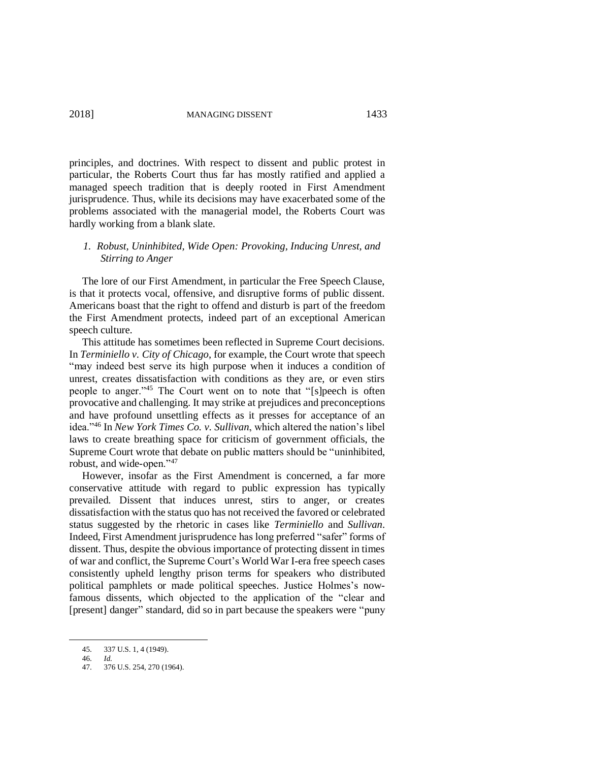principles, and doctrines. With respect to dissent and public protest in particular, the Roberts Court thus far has mostly ratified and applied a managed speech tradition that is deeply rooted in First Amendment jurisprudence. Thus, while its decisions may have exacerbated some of the problems associated with the managerial model, the Roberts Court was hardly working from a blank slate.

# *1. Robust, Uninhibited, Wide Open: Provoking, Inducing Unrest, and Stirring to Anger*

The lore of our First Amendment, in particular the Free Speech Clause, is that it protects vocal, offensive, and disruptive forms of public dissent. Americans boast that the right to offend and disturb is part of the freedom the First Amendment protects, indeed part of an exceptional American speech culture.

This attitude has sometimes been reflected in Supreme Court decisions. In *Terminiello v. City of Chicago*, for example, the Court wrote that speech "may indeed best serve its high purpose when it induces a condition of unrest, creates dissatisfaction with conditions as they are, or even stirs people to anger."<sup>45</sup> The Court went on to note that "[s]peech is often provocative and challenging. It may strike at prejudices and preconceptions and have profound unsettling effects as it presses for acceptance of an idea."<sup>46</sup> In *New York Times Co. v. Sullivan*, which altered the nation's libel laws to create breathing space for criticism of government officials, the Supreme Court wrote that debate on public matters should be "uninhibited, robust, and wide-open."<sup>47</sup>

However, insofar as the First Amendment is concerned, a far more conservative attitude with regard to public expression has typically prevailed. Dissent that induces unrest, stirs to anger, or creates dissatisfaction with the status quo has not received the favored or celebrated status suggested by the rhetoric in cases like *Terminiello* and *Sullivan*. Indeed, First Amendment jurisprudence has long preferred "safer" forms of dissent. Thus, despite the obvious importance of protecting dissent in times of war and conflict, the Supreme Court's World War I-era free speech cases consistently upheld lengthy prison terms for speakers who distributed political pamphlets or made political speeches. Justice Holmes's nowfamous dissents, which objected to the application of the "clear and [present] danger" standard, did so in part because the speakers were "puny

<sup>45.</sup> 337 U.S. 1, 4 (1949).

<sup>46.</sup> *Id.*

<sup>376</sup> U.S. 254, 270 (1964).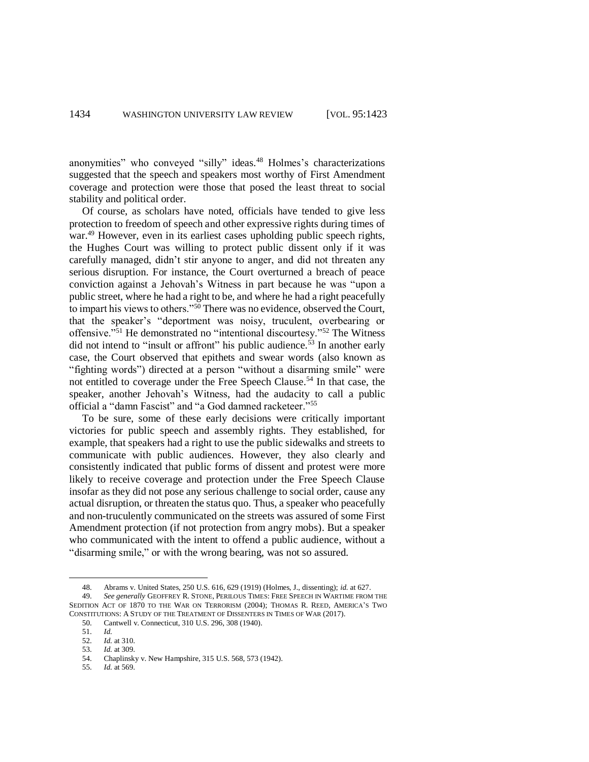anonymities" who conveyed "silly" ideas. <sup>48</sup> Holmes's characterizations suggested that the speech and speakers most worthy of First Amendment coverage and protection were those that posed the least threat to social stability and political order.

Of course, as scholars have noted, officials have tended to give less protection to freedom of speech and other expressive rights during times of war.<sup>49</sup> However, even in its earliest cases upholding public speech rights, the Hughes Court was willing to protect public dissent only if it was carefully managed, didn't stir anyone to anger, and did not threaten any serious disruption. For instance, the Court overturned a breach of peace conviction against a Jehovah's Witness in part because he was "upon a public street, where he had a right to be, and where he had a right peacefully to impart his views to others."<sup>50</sup> There was no evidence, observed the Court, that the speaker's "deportment was noisy, truculent, overbearing or offensive."<sup>51</sup> He demonstrated no "intentional discourtesy."<sup>52</sup> The Witness did not intend to "insult or affront" his public audience.<sup>53</sup> In another early case, the Court observed that epithets and swear words (also known as "fighting words") directed at a person "without a disarming smile" were not entitled to coverage under the Free Speech Clause. <sup>54</sup> In that case, the speaker, another Jehovah's Witness, had the audacity to call a public official a "damn Fascist" and "a God damned racketeer."<sup>55</sup>

To be sure, some of these early decisions were critically important victories for public speech and assembly rights. They established, for example, that speakers had a right to use the public sidewalks and streets to communicate with public audiences. However, they also clearly and consistently indicated that public forms of dissent and protest were more likely to receive coverage and protection under the Free Speech Clause insofar as they did not pose any serious challenge to social order, cause any actual disruption, or threaten the status quo. Thus, a speaker who peacefully and non-truculently communicated on the streets was assured of some First Amendment protection (if not protection from angry mobs). But a speaker who communicated with the intent to offend a public audience, without a "disarming smile," or with the wrong bearing, was not so assured.

 $\overline{a}$ 

53. *Id.* at 309.

55. *Id.* at 569.

<sup>48.</sup> Abrams v. United States, 250 U.S. 616, 629 (1919) (Holmes, J., dissenting); *id.* at 627.<br>49 See generally GEOFFREY R. STONE, PERILOUS TIMES: FREE SPEECH IN WARTIME FROM

<sup>49.</sup> *See generally* GEOFFREY R. STONE, PERILOUS TIMES: FREE SPEECH IN WARTIME FROM THE SEDITION ACT OF 1870 TO THE WAR ON TERRORISM (2004); THOMAS R. REED, AMERICA'S TWO CONSTITUTIONS: A STUDY OF THE TREATMENT OF DISSENTERS IN TIMES OF WAR (2017).

<sup>50.</sup> Cantwell v. Connecticut, 310 U.S. 296, 308 (1940).

<sup>51.</sup> *Id.*

*Id.* at 310.

<sup>54.</sup> Chaplinsky v. New Hampshire, 315 U.S. 568, 573 (1942).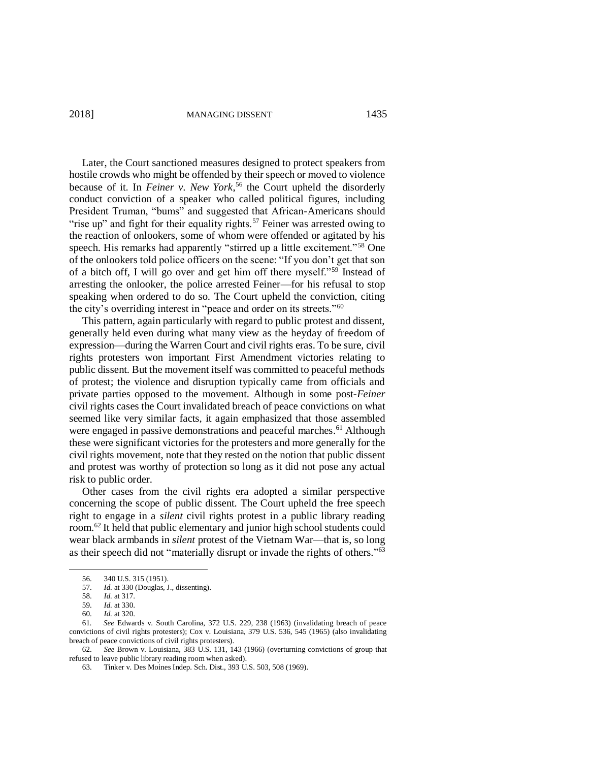2018] MANAGING DISSENT 1435

Later, the Court sanctioned measures designed to protect speakers from hostile crowds who might be offended by their speech or moved to violence because of it. In *Feiner v. New York*, <sup>56</sup> the Court upheld the disorderly conduct conviction of a speaker who called political figures, including President Truman, "bums" and suggested that African-Americans should "rise up" and fight for their equality rights.<sup>57</sup> Feiner was arrested owing to the reaction of onlookers, some of whom were offended or agitated by his speech. His remarks had apparently "stirred up a little excitement."<sup>58</sup> One of the onlookers told police officers on the scene: "If you don't get that son of a bitch off, I will go over and get him off there myself."<sup>59</sup> Instead of arresting the onlooker, the police arrested Feiner—for his refusal to stop speaking when ordered to do so. The Court upheld the conviction, citing the city's overriding interest in "peace and order on its streets."<sup>60</sup>

This pattern, again particularly with regard to public protest and dissent, generally held even during what many view as the heyday of freedom of expression—during the Warren Court and civil rights eras. To be sure, civil rights protesters won important First Amendment victories relating to public dissent. But the movement itself was committed to peaceful methods of protest; the violence and disruption typically came from officials and private parties opposed to the movement. Although in some post-*Feiner* civil rights cases the Court invalidated breach of peace convictions on what seemed like very similar facts, it again emphasized that those assembled were engaged in passive demonstrations and peaceful marches.<sup>61</sup> Although these were significant victories for the protesters and more generally for the civil rights movement, note that they rested on the notion that public dissent and protest was worthy of protection so long as it did not pose any actual risk to public order.

Other cases from the civil rights era adopted a similar perspective concerning the scope of public dissent. The Court upheld the free speech right to engage in a *silent* civil rights protest in a public library reading room. <sup>62</sup> It held that public elementary and junior high school students could wear black armbands in *silent* protest of the Vietnam War—that is, so long as their speech did not "materially disrupt or invade the rights of others."<sup>63</sup>

<sup>56.</sup> 340 U.S. 315 (1951).

<sup>57.</sup> *Id.* at 330 (Douglas, J., dissenting).

<sup>58.</sup> *Id.* at 317.<br>59. *Id.* at 330.

*Id.* at 330.

<sup>60.</sup> *Id.* at 320.

<sup>61</sup>*. See* Edwards v. South Carolina, 372 U.S. 229, 238 (1963) (invalidating breach of peace convictions of civil rights protesters); Cox v. Louisiana, 379 U.S. 536, 545 (1965) (also invalidating breach of peace convictions of civil rights protesters).

<sup>62.</sup> *See* Brown v. Louisiana, 383 U.S. 131, 143 (1966) (overturning convictions of group that refused to leave public library reading room when asked).

<sup>63.</sup> Tinker v. Des Moines Indep. Sch. Dist., 393 U.S. 503, 508 (1969).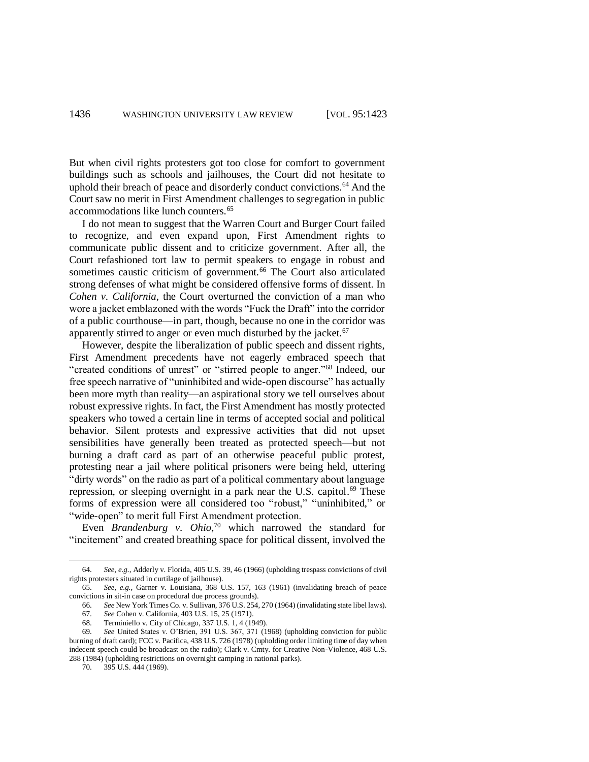But when civil rights protesters got too close for comfort to government buildings such as schools and jailhouses, the Court did not hesitate to uphold their breach of peace and disorderly conduct convictions.<sup>64</sup> And the Court saw no merit in First Amendment challenges to segregation in public accommodations like lunch counters.<sup>65</sup>

I do not mean to suggest that the Warren Court and Burger Court failed to recognize, and even expand upon, First Amendment rights to communicate public dissent and to criticize government. After all, the Court refashioned tort law to permit speakers to engage in robust and sometimes caustic criticism of government.<sup>66</sup> The Court also articulated strong defenses of what might be considered offensive forms of dissent. In *Cohen v. California*, the Court overturned the conviction of a man who wore a jacket emblazoned with the words "Fuck the Draft" into the corridor of a public courthouse—in part, though, because no one in the corridor was apparently stirred to anger or even much disturbed by the jacket. $67$ 

However, despite the liberalization of public speech and dissent rights, First Amendment precedents have not eagerly embraced speech that "created conditions of unrest" or "stirred people to anger."<sup>68</sup> Indeed, our free speech narrative of "uninhibited and wide-open discourse" has actually been more myth than reality—an aspirational story we tell ourselves about robust expressive rights. In fact, the First Amendment has mostly protected speakers who towed a certain line in terms of accepted social and political behavior. Silent protests and expressive activities that did not upset sensibilities have generally been treated as protected speech—but not burning a draft card as part of an otherwise peaceful public protest, protesting near a jail where political prisoners were being held, uttering "dirty words" on the radio as part of a political commentary about language repression, or sleeping overnight in a park near the U.S. capitol. <sup>69</sup> These forms of expression were all considered too "robust," "uninhibited," or "wide-open" to merit full First Amendment protection.

Even *Brandenburg v. Ohio*, <sup>70</sup> which narrowed the standard for "incitement" and created breathing space for political dissent, involved the

70. 395 U.S. 444 (1969).

<sup>64.</sup> *See*, *e.g.*, Adderly v. Florida, 405 U.S. 39, 46 (1966) (upholding trespass convictions of civil rights protesters situated in curtilage of jailhouse).

<sup>65.</sup> *See*, *e.g.*, Garner v. Louisiana, 368 U.S. 157, 163 (1961) (invalidating breach of peace convictions in sit-in case on procedural due process grounds).

<sup>66.</sup> *See* New York Times Co. v. Sullivan, 376 U.S. 254, 270 (1964) (invalidating state libel laws).

<sup>67.</sup> *See* Cohen v. California, 403 U.S. 15, 25 (1971).

<sup>68.</sup> Terminiello v. City of Chicago, 337 U.S. 1, 4 (1949).

<sup>69.</sup> *See* United States v. O'Brien, 391 U.S. 367, 371 (1968) (upholding conviction for public burning of draft card); FCC v. Pacifica, 438 U.S. 726 (1978) (upholding order limiting time of day when indecent speech could be broadcast on the radio); Clark v. Cmty. for Creative Non-Violence, 468 U.S. 288 (1984) (upholding restrictions on overnight camping in national parks).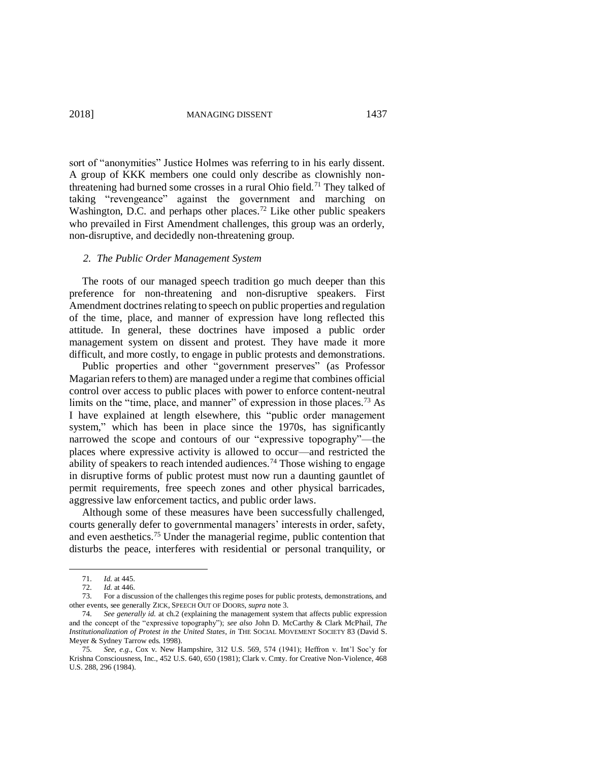sort of "anonymities" Justice Holmes was referring to in his early dissent. A group of KKK members one could only describe as clownishly nonthreatening had burned some crosses in a rural Ohio field.<sup>71</sup> They talked of taking "revengeance" against the government and marching on Washington, D.C. and perhaps other places.<sup>72</sup> Like other public speakers who prevailed in First Amendment challenges, this group was an orderly, non-disruptive, and decidedly non-threatening group.

### *2. The Public Order Management System*

The roots of our managed speech tradition go much deeper than this preference for non-threatening and non-disruptive speakers. First Amendment doctrines relating to speech on public properties and regulation of the time, place, and manner of expression have long reflected this attitude. In general, these doctrines have imposed a public order management system on dissent and protest. They have made it more difficult, and more costly, to engage in public protests and demonstrations.

Public properties and other "government preserves" (as Professor Magarian refers to them) are managed under a regime that combines official control over access to public places with power to enforce content-neutral limits on the "time, place, and manner" of expression in those places.<sup>73</sup> As I have explained at length elsewhere, this "public order management system," which has been in place since the 1970s, has significantly narrowed the scope and contours of our "expressive topography"—the places where expressive activity is allowed to occur—and restricted the ability of speakers to reach intended audiences.<sup>74</sup> Those wishing to engage in disruptive forms of public protest must now run a daunting gauntlet of permit requirements, free speech zones and other physical barricades, aggressive law enforcement tactics, and public order laws.

Although some of these measures have been successfully challenged, courts generally defer to governmental managers' interests in order, safety, and even aesthetics.<sup>75</sup> Under the managerial regime, public contention that disturbs the peace, interferes with residential or personal tranquility, or

<sup>71.</sup> *Id.* at 445.

<sup>72.</sup> *Id.* at 446.

<sup>73.</sup> For a discussion of the challenges this regime poses for public protests, demonstrations, and other events, see generally ZICK, SPEECH OUT OF DOORS, *supra* not[e 3.](#page-1-0)

<sup>74.</sup> *See generally id.* at ch.2 (explaining the management system that affects public expression and the concept of the "expressive topography"); *see also* John D. McCarthy & Clark McPhail, *The Institutionalization of Protest in the United States*, *in* THE SOCIAL MOVEMENT SOCIETY 83 (David S. Meyer & Sydney Tarrow eds. 1998).

<sup>75.</sup> *See*, *e.g*., Cox v. New Hampshire, 312 U.S. 569, 574 (1941); Heffron v. Int'l Soc'y for Krishna Consciousness, Inc., 452 U.S. 640, 650 (1981); Clark v. Cmty. for Creative Non-Violence, 468 U.S. 288, 296 (1984).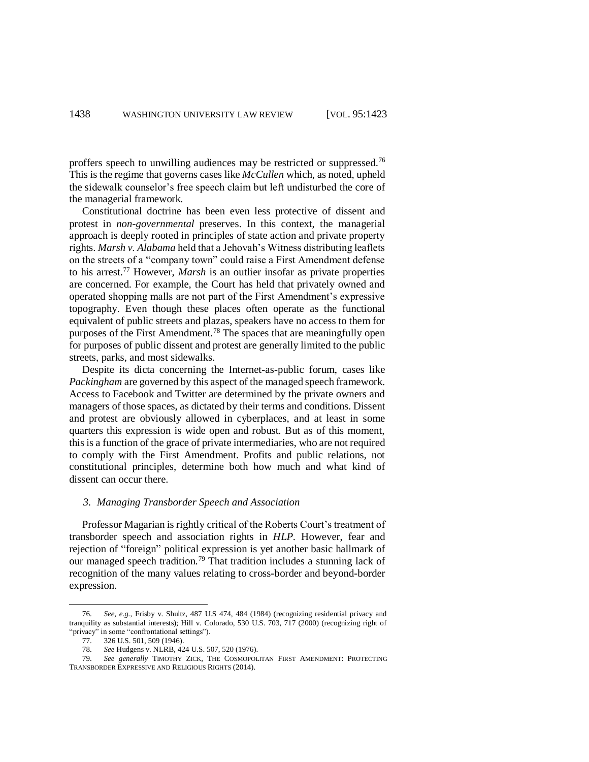proffers speech to unwilling audiences may be restricted or suppressed.<sup>76</sup> This is the regime that governs cases like *McCullen* which, as noted, upheld the sidewalk counselor's free speech claim but left undisturbed the core of the managerial framework.

Constitutional doctrine has been even less protective of dissent and protest in *non-governmental* preserves. In this context, the managerial approach is deeply rooted in principles of state action and private property rights. *Marsh v. Alabama* held that a Jehovah's Witness distributing leaflets on the streets of a "company town" could raise a First Amendment defense to his arrest. <sup>77</sup> However, *Marsh* is an outlier insofar as private properties are concerned. For example, the Court has held that privately owned and operated shopping malls are not part of the First Amendment's expressive topography. Even though these places often operate as the functional equivalent of public streets and plazas, speakers have no access to them for purposes of the First Amendment.<sup>78</sup> The spaces that are meaningfully open for purposes of public dissent and protest are generally limited to the public streets, parks, and most sidewalks.

Despite its dicta concerning the Internet-as-public forum, cases like *Packingham* are governed by this aspect of the managed speech framework. Access to Facebook and Twitter are determined by the private owners and managers of those spaces, as dictated by their terms and conditions. Dissent and protest are obviously allowed in cyberplaces, and at least in some quarters this expression is wide open and robust. But as of this moment, this is a function of the grace of private intermediaries, who are not required to comply with the First Amendment. Profits and public relations, not constitutional principles, determine both how much and what kind of dissent can occur there.

# <span id="page-15-0"></span>*3. Managing Transborder Speech and Association*

Professor Magarian is rightly critical of the Roberts Court's treatment of transborder speech and association rights in *HLP*. However, fear and rejection of "foreign" political expression is yet another basic hallmark of our managed speech tradition.<sup>79</sup> That tradition includes a stunning lack of recognition of the many values relating to cross-border and beyond-border expression.

<sup>76.</sup> *See*, *e.g.*, Frisby v. Shultz, 487 U.S 474, 484 (1984) (recognizing residential privacy and tranquility as substantial interests); Hill v. Colorado, 530 U.S. 703, 717 (2000) (recognizing right of "privacy" in some "confrontational settings").

<sup>77.</sup> 326 U.S. 501, 509 (1946).

<sup>78.</sup> *See* Hudgens v. NLRB, 424 U.S. 507, 520 (1976).

<sup>79.</sup> *See generally* TIMOTHY ZICK, THE COSMOPOLITAN FIRST AMENDMENT: PROTECTING TRANSBORDER EXPRESSIVE AND RELIGIOUS RIGHTS (2014).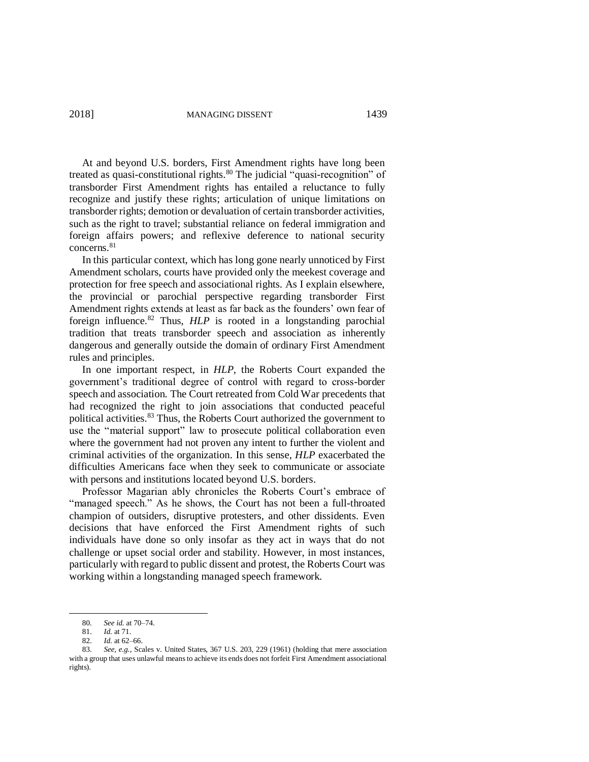At and beyond U.S. borders, First Amendment rights have long been treated as quasi-constitutional rights.<sup>80</sup> The judicial "quasi-recognition" of transborder First Amendment rights has entailed a reluctance to fully recognize and justify these rights; articulation of unique limitations on transborder rights; demotion or devaluation of certain transborder activities, such as the right to travel; substantial reliance on federal immigration and foreign affairs powers; and reflexive deference to national security concerns.<sup>81</sup>

In this particular context, which has long gone nearly unnoticed by First Amendment scholars, courts have provided only the meekest coverage and protection for free speech and associational rights. As I explain elsewhere, the provincial or parochial perspective regarding transborder First Amendment rights extends at least as far back as the founders' own fear of foreign influence.<sup>82</sup> Thus, *HLP* is rooted in a longstanding parochial tradition that treats transborder speech and association as inherently dangerous and generally outside the domain of ordinary First Amendment rules and principles.

In one important respect, in *HLP,* the Roberts Court expanded the government's traditional degree of control with regard to cross-border speech and association. The Court retreated from Cold War precedents that had recognized the right to join associations that conducted peaceful political activities.<sup>83</sup> Thus, the Roberts Court authorized the government to use the "material support" law to prosecute political collaboration even where the government had not proven any intent to further the violent and criminal activities of the organization. In this sense, *HLP* exacerbated the difficulties Americans face when they seek to communicate or associate with persons and institutions located beyond U.S. borders.

Professor Magarian ably chronicles the Roberts Court's embrace of "managed speech." As he shows, the Court has not been a full-throated champion of outsiders, disruptive protesters, and other dissidents. Even decisions that have enforced the First Amendment rights of such individuals have done so only insofar as they act in ways that do not challenge or upset social order and stability. However, in most instances, particularly with regard to public dissent and protest, the Roberts Court was working within a longstanding managed speech framework.

<sup>80.</sup> *See id.* at 70–74.

<sup>81.</sup> *Id.* at 71.

*Id.* at 62–66.

<sup>83.</sup> *See, e.g.*, Scales v. United States, 367 U.S. 203, 229 (1961) (holding that mere association with a group that uses unlawful means to achieve its ends does not forfeit First Amendment associational rights).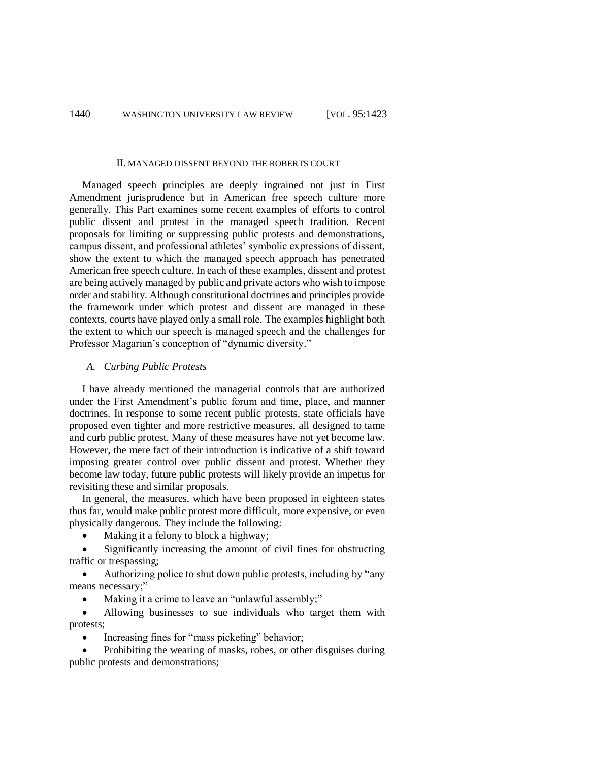#### II. MANAGED DISSENT BEYOND THE ROBERTS COURT

Managed speech principles are deeply ingrained not just in First Amendment jurisprudence but in American free speech culture more generally. This Part examines some recent examples of efforts to control public dissent and protest in the managed speech tradition. Recent proposals for limiting or suppressing public protests and demonstrations, campus dissent, and professional athletes' symbolic expressions of dissent, show the extent to which the managed speech approach has penetrated American free speech culture. In each of these examples, dissent and protest are being actively managed by public and private actors who wish to impose order and stability. Although constitutional doctrines and principles provide the framework under which protest and dissent are managed in these contexts, courts have played only a small role. The examples highlight both the extent to which our speech is managed speech and the challenges for Professor Magarian's conception of "dynamic diversity."

## *A. Curbing Public Protests*

I have already mentioned the managerial controls that are authorized under the First Amendment's public forum and time, place, and manner doctrines. In response to some recent public protests, state officials have proposed even tighter and more restrictive measures, all designed to tame and curb public protest. Many of these measures have not yet become law. However, the mere fact of their introduction is indicative of a shift toward imposing greater control over public dissent and protest. Whether they become law today, future public protests will likely provide an impetus for revisiting these and similar proposals.

In general, the measures, which have been proposed in eighteen states thus far, would make public protest more difficult, more expensive, or even physically dangerous. They include the following:

Making it a felony to block a highway;

• Significantly increasing the amount of civil fines for obstructing traffic or trespassing;

• Authorizing police to shut down public protests, including by "any means necessary;"

Making it a crime to leave an "unlawful assembly;"

• Allowing businesses to sue individuals who target them with protests;

Increasing fines for "mass picketing" behavior;

• Prohibiting the wearing of masks, robes, or other disguises during public protests and demonstrations;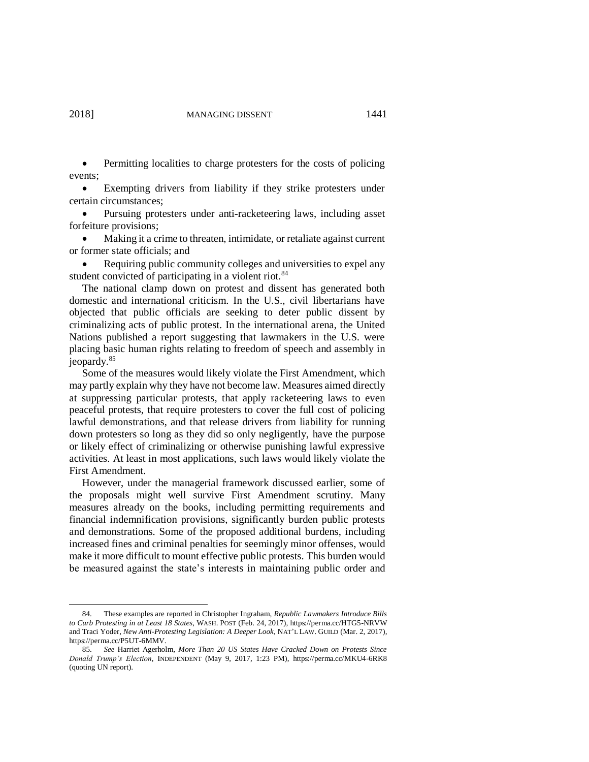$\overline{a}$ 

• Permitting localities to charge protesters for the costs of policing events;

• Exempting drivers from liability if they strike protesters under certain circumstances;

• Pursuing protesters under anti-racketeering laws, including asset forfeiture provisions;

• Making it a crime to threaten, intimidate, or retaliate against current or former state officials; and

Requiring public community colleges and universities to expel any student convicted of participating in a violent riot.<sup>84</sup>

The national clamp down on protest and dissent has generated both domestic and international criticism. In the U.S., civil libertarians have objected that public officials are seeking to deter public dissent by criminalizing acts of public protest. In the international arena, the United Nations published a report suggesting that lawmakers in the U.S. were placing basic human rights relating to freedom of speech and assembly in jeopardy.<sup>85</sup>

Some of the measures would likely violate the First Amendment, which may partly explain why they have not become law. Measures aimed directly at suppressing particular protests, that apply racketeering laws to even peaceful protests, that require protesters to cover the full cost of policing lawful demonstrations, and that release drivers from liability for running down protesters so long as they did so only negligently, have the purpose or likely effect of criminalizing or otherwise punishing lawful expressive activities. At least in most applications, such laws would likely violate the First Amendment.

However, under the managerial framework discussed earlier, some of the proposals might well survive First Amendment scrutiny. Many measures already on the books, including permitting requirements and financial indemnification provisions, significantly burden public protests and demonstrations. Some of the proposed additional burdens, including increased fines and criminal penalties for seemingly minor offenses, would make it more difficult to mount effective public protests. This burden would be measured against the state's interests in maintaining public order and

<sup>84.</sup> These examples are reported in Christopher Ingraham, *Republic Lawmakers Introduce Bills to Curb Protesting in at Least 18 States*, WASH. POST (Feb. 24, 2017), https://perma.cc/HTG5-NRVW and Traci Yoder, *New Anti-Protesting Legislation: A Deeper Look*, NAT'L LAW. GUILD (Mar. 2, 2017), https://perma.cc/P5UT-6MMV.

<sup>85.</sup> *See* Harriet Agerholm, *More Than 20 US States Have Cracked Down on Protests Since Donald Trump's Election*, INDEPENDENT (May 9, 2017, 1:23 PM),<https://perma.cc/MKU4-6RK8> (quoting UN report).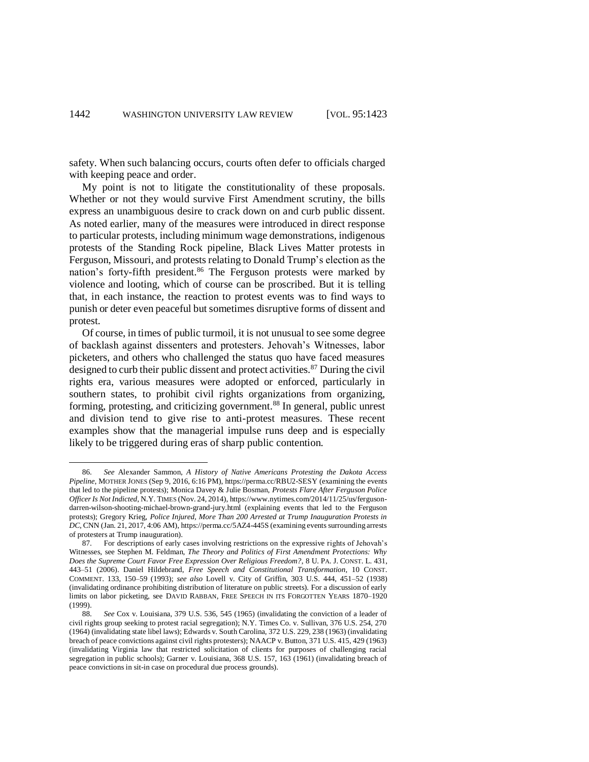safety. When such balancing occurs, courts often defer to officials charged with keeping peace and order.

My point is not to litigate the constitutionality of these proposals. Whether or not they would survive First Amendment scrutiny, the bills express an unambiguous desire to crack down on and curb public dissent. As noted earlier, many of the measures were introduced in direct response to particular protests, including minimum wage demonstrations, indigenous protests of the Standing Rock pipeline, Black Lives Matter protests in Ferguson, Missouri, and protests relating to Donald Trump's election as the nation's forty-fifth president. <sup>86</sup> The Ferguson protests were marked by violence and looting, which of course can be proscribed. But it is telling that, in each instance, the reaction to protest events was to find ways to punish or deter even peaceful but sometimes disruptive forms of dissent and protest.

Of course, in times of public turmoil, it is not unusual to see some degree of backlash against dissenters and protesters. Jehovah's Witnesses, labor picketers, and others who challenged the status quo have faced measures designed to curb their public dissent and protect activities.<sup>87</sup> During the civil rights era, various measures were adopted or enforced, particularly in southern states, to prohibit civil rights organizations from organizing, forming, protesting, and criticizing government. <sup>88</sup> In general, public unrest and division tend to give rise to anti-protest measures. These recent examples show that the managerial impulse runs deep and is especially likely to be triggered during eras of sharp public contention.

<sup>86.</sup> *See* Alexander Sammon, *A History of Native Americans Protesting the Dakota Access Pipeline*, MOTHER JONES (Sep 9, 2016, 6:16 PM), https://perma.cc/RBU2-SESY (examining the events that led to the pipeline protests); Monica Davey & Julie Bosman, *Protests Flare After Ferguson Police Officer Is Not Indicted*, N.Y. TIMES (Nov. 24, 2014), https://www.nytimes.com/2014/11/25/us/fergusondarren-wilson-shooting-michael-brown-grand-jury.html (explaining events that led to the Ferguson protests); Gregory Krieg, *Police Injured, More Than 200 Arrested at Trump Inauguration Protests in DC*, CNN (Jan. 21, 2017, 4:06 AM), https://perma.cc/5AZ4-445S (examining events surrounding arrests of protesters at Trump inauguration).

<sup>87.</sup> For descriptions of early cases involving restrictions on the expressive rights of Jehovah's Witnesses, see Stephen M. Feldman, *The Theory and Politics of First Amendment Protections: Why Does the Supreme Court Favor Free Expression Over Religious Freedom?*, 8 U. PA. J. CONST. L. 431, 443–51 (2006). Daniel Hildebrand, *Free Speech and Constitutional Transformation*, 10 CONST. COMMENT. 133, 150–59 (1993); *see also* Lovell v. City of Griffin, 303 U.S. 444, 451–52 (1938) (invalidating ordinance prohibiting distribution of literature on public streets). For a discussion of early limits on labor picketing, see DAVID RABBAN, FREE SPEECH IN ITS FORGOTTEN YEARS 1870–1920 (1999).

<sup>88.</sup> *See* Cox v. Louisiana, 379 U.S. 536, 545 (1965) (invalidating the conviction of a leader of civil rights group seeking to protest racial segregation); N.Y. Times Co. v. Sullivan, 376 U.S. 254, 270 (1964) (invalidating state libel laws); Edwards v. South Carolina, 372 U.S. 229, 238 (1963) (invalidating breach of peace convictions against civil rights protesters); NAACP v. Button, 371 U.S. 415, 429 (1963) (invalidating Virginia law that restricted solicitation of clients for purposes of challenging racial segregation in public schools); Garner v. Louisiana, 368 U.S. 157, 163 (1961) (invalidating breach of peace convictions in sit-in case on procedural due process grounds).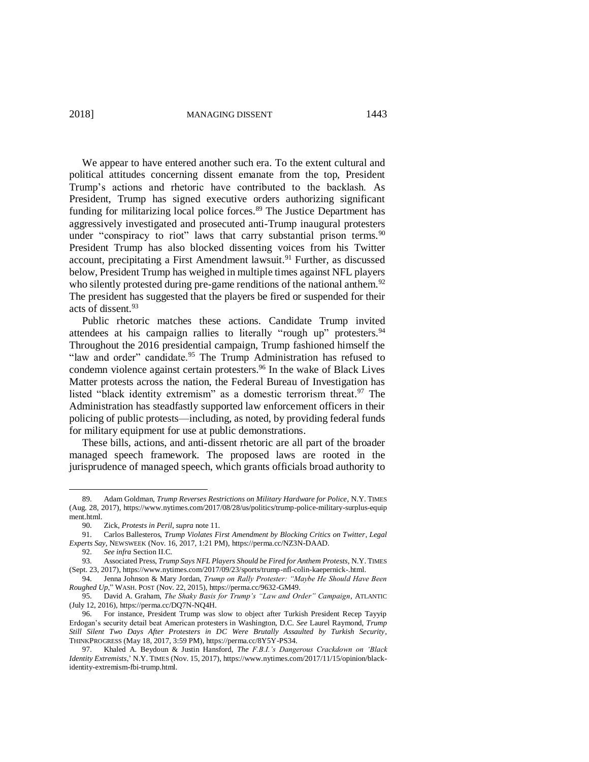2018] MANAGING DISSENT 1443

We appear to have entered another such era. To the extent cultural and political attitudes concerning dissent emanate from the top, President Trump's actions and rhetoric have contributed to the backlash. As President, Trump has signed executive orders authorizing significant funding for militarizing local police forces. <sup>89</sup> The Justice Department has aggressively investigated and prosecuted anti-Trump inaugural protesters under "conspiracy to riot" laws that carry substantial prison terms.  $90$ President Trump has also blocked dissenting voices from his Twitter account, precipitating a First Amendment lawsuit. <sup>91</sup> Further, as discussed below, President Trump has weighed in multiple times against NFL players who silently protested during pre-game renditions of the national anthem.<sup>92</sup> The president has suggested that the players be fired or suspended for their acts of dissent.<sup>93</sup>

Public rhetoric matches these actions. Candidate Trump invited attendees at his campaign rallies to literally "rough up" protesters.<sup>94</sup> Throughout the 2016 presidential campaign, Trump fashioned himself the "law and order" candidate.<sup>95</sup> The Trump Administration has refused to condemn violence against certain protesters. <sup>96</sup> In the wake of Black Lives Matter protests across the nation, the Federal Bureau of Investigation has listed "black identity extremism" as a domestic terrorism threat.<sup>97</sup> The Administration has steadfastly supported law enforcement officers in their policing of public protests—including, as noted, by providing federal funds for military equipment for use at public demonstrations.

These bills, actions, and anti-dissent rhetoric are all part of the broader managed speech framework. The proposed laws are rooted in the jurisprudence of managed speech, which grants officials broad authority to

<sup>89.</sup> Adam Goldman, *Trump Reverses Restrictions on Military Hardware for Police*, N.Y. TIMES (Aug. 28, 2017), https://www.nytimes.com/2017/08/28/us/politics/trump-police-military-surplus-equip ment.html.

<sup>90.</sup> Zick, *Protests in Peril*, *supra* note [11.](#page-3-0)

<sup>91.</sup> Carlos Ballesteros, *Trump Violates First Amendment by Blocking Critics on Twitter*, *Legal Experts Say*, NEWSWEEK (Nov. 16, 2017, 1:21 PM), https://perma.cc/NZ3N-DAAD.

<sup>92.</sup> *See infra* Section II.C.

<sup>93.</sup> Associated Press, *Trump Says NFL Players Should be Fired for Anthem Protests*, N.Y. TIMES (Sept. 23, 2017), https://www.nytimes.com/2017/09/23/sports/trump-nfl-colin-kaepernick-.html.

<sup>94.</sup> Jenna Johnson & Mary Jordan, *Trump on Rally Protester: "Maybe He Should Have Been Roughed Up*," WASH. POST (Nov. 22, 2015), https://perma.cc/9632-GM49.

<sup>95.</sup> David A. Graham, *The Shaky Basis for Trump's "Law and Order" Campaign*, ATLANTIC (July 12, 2016), https://perma.cc/DQ7N-NQ4H.

<sup>96.</sup> For instance, President Trump was slow to object after Turkish President Recep Tayyip Erdogan's security detail beat American protesters in Washington, D.C. *See* Laurel Raymond, *Trump Still Silent Two Days After Protesters in DC Were Brutally Assaulted by Turkish Security*, THINKPROGRESS (May 18, 2017, 3:59 PM), https://perma.cc/8Y5Y-PS34.

<sup>97.</sup> Khaled A. Beydoun & Justin Hansford, *The F.B.I.'s Dangerous Crackdown on 'Black Identity Extremists*,' N.Y. TIMES (Nov. 15, 2017), https://www.nytimes.com/2017/11/15/opinion/blackidentity-extremism-fbi-trump.html.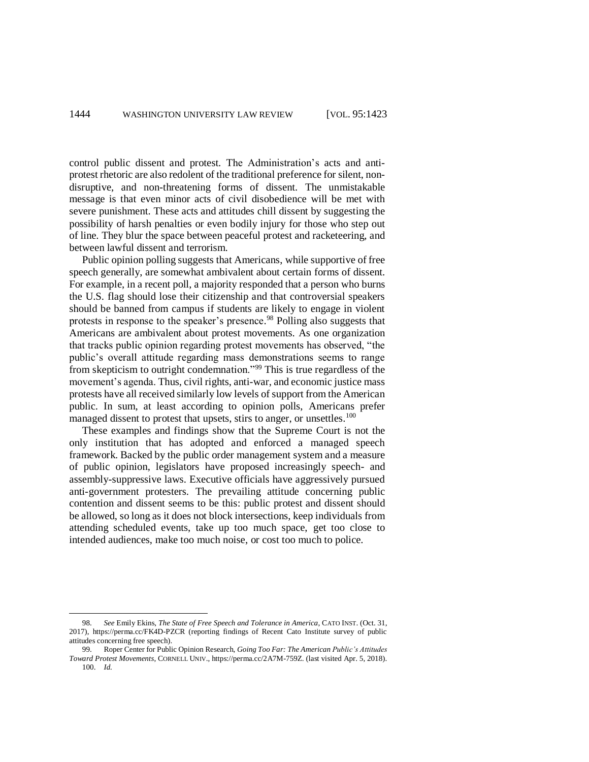control public dissent and protest. The Administration's acts and antiprotest rhetoric are also redolent of the traditional preference for silent, nondisruptive, and non-threatening forms of dissent. The unmistakable message is that even minor acts of civil disobedience will be met with severe punishment. These acts and attitudes chill dissent by suggesting the possibility of harsh penalties or even bodily injury for those who step out of line. They blur the space between peaceful protest and racketeering, and between lawful dissent and terrorism.

Public opinion polling suggests that Americans, while supportive of free speech generally, are somewhat ambivalent about certain forms of dissent. For example, in a recent poll, a majority responded that a person who burns the U.S. flag should lose their citizenship and that controversial speakers should be banned from campus if students are likely to engage in violent protests in response to the speaker's presence. <sup>98</sup> Polling also suggests that Americans are ambivalent about protest movements. As one organization that tracks public opinion regarding protest movements has observed, "the public's overall attitude regarding mass demonstrations seems to range from skepticism to outright condemnation."<sup>99</sup> This is true regardless of the movement's agenda. Thus, civil rights, anti-war, and economic justice mass protests have all received similarly low levels of support from the American public. In sum, at least according to opinion polls, Americans prefer managed dissent to protest that upsets, stirs to anger, or unsettles.<sup>100</sup>

These examples and findings show that the Supreme Court is not the only institution that has adopted and enforced a managed speech framework. Backed by the public order management system and a measure of public opinion, legislators have proposed increasingly speech- and assembly-suppressive laws. Executive officials have aggressively pursued anti-government protesters. The prevailing attitude concerning public contention and dissent seems to be this: public protest and dissent should be allowed, so long as it does not block intersections, keep individuals from attending scheduled events, take up too much space, get too close to intended audiences, make too much noise, or cost too much to police.

<sup>98.</sup> *See* Emily Ekins, *The State of Free Speech and Tolerance in America*, CATO INST. (Oct. 31, 2017),<https://perma.cc/FK4D-PZCR> (reporting findings of Recent Cato Institute survey of public attitudes concerning free speech).

<sup>99.</sup> Roper Center for Public Opinion Research, *Going Too Far: The American Public's Attitudes Toward Protest Movements*, CORNELL UNIV., https://perma.cc/2A7M-759Z. (last visited Apr. 5, 2018). 100. *Id.*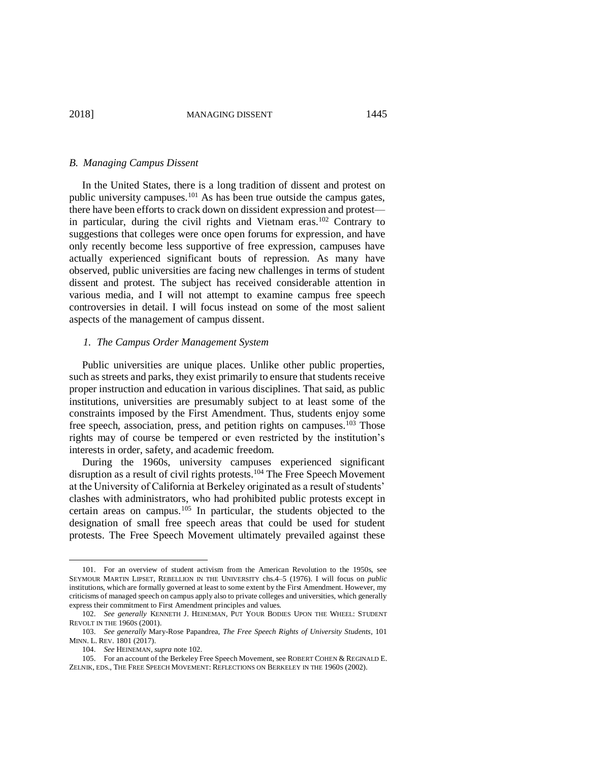### *B. Managing Campus Dissent*

<span id="page-22-0"></span>In the United States, there is a long tradition of dissent and protest on public university campuses.<sup>101</sup> As has been true outside the campus gates, there have been efforts to crack down on dissident expression and protest in particular, during the civil rights and Vietnam eras.<sup>102</sup> Contrary to suggestions that colleges were once open forums for expression, and have only recently become less supportive of free expression, campuses have actually experienced significant bouts of repression. As many have observed, public universities are facing new challenges in terms of student dissent and protest. The subject has received considerable attention in various media, and I will not attempt to examine campus free speech controversies in detail. I will focus instead on some of the most salient aspects of the management of campus dissent.

### *1. The Campus Order Management System*

Public universities are unique places. Unlike other public properties, such as streets and parks, they exist primarily to ensure that students receive proper instruction and education in various disciplines. That said, as public institutions, universities are presumably subject to at least some of the constraints imposed by the First Amendment. Thus, students enjoy some free speech, association, press, and petition rights on campuses.<sup>103</sup> Those rights may of course be tempered or even restricted by the institution's interests in order, safety, and academic freedom.

During the 1960s, university campuses experienced significant disruption as a result of civil rights protests.<sup>104</sup> The Free Speech Movement at the University of California at Berkeley originated as a result of students' clashes with administrators, who had prohibited public protests except in certain areas on campus.<sup>105</sup> In particular, the students objected to the designation of small free speech areas that could be used for student protests. The Free Speech Movement ultimately prevailed against these

<sup>101.</sup> For an overview of student activism from the American Revolution to the 1950s, see SEYMOUR MARTIN LIPSET, REBELLION IN THE UNIVERSITY chs.4–5 (1976). I will focus on *public* institutions, which are formally governed at least to some extent by the First Amendment. However, my criticisms of managed speech on campus apply also to private colleges and universities, which generally express their commitment to First Amendment principles and values.

<sup>102.</sup> *See generally* KENNETH J. HEINEMAN, PUT YOUR BODIES UPON THE WHEEL: STUDENT REVOLT IN THE 1960S (2001).

<sup>103.</sup> *See generally* Mary-Rose Papandrea, *The Free Speech Rights of University Students*, 101 MINN. L. REV. 1801 (2017).

<sup>104.</sup> *See* HEINEMAN, *supra* not[e 102.](#page-22-0)

<sup>105.</sup> For an account of the Berkeley Free Speech Movement, see ROBERT COHEN & REGINALD E. ZELNIK, EDS., THE FREE SPEECH MOVEMENT: REFLECTIONS ON BERKELEY IN THE 1960S (2002).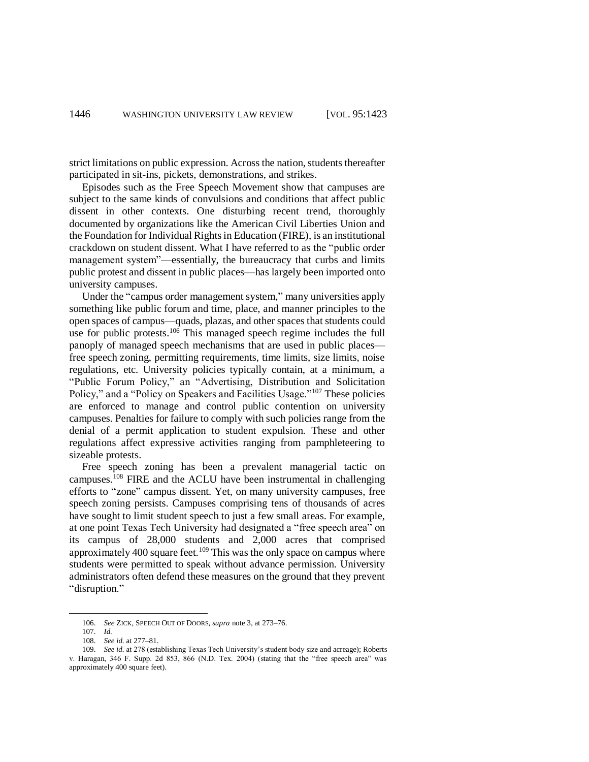strict limitations on public expression. Across the nation, students thereafter participated in sit-ins, pickets, demonstrations, and strikes.

Episodes such as the Free Speech Movement show that campuses are subject to the same kinds of convulsions and conditions that affect public dissent in other contexts. One disturbing recent trend, thoroughly documented by organizations like the American Civil Liberties Union and the Foundation for Individual Rights in Education (FIRE), is an institutional crackdown on student dissent. What I have referred to as the "public order management system"—essentially, the bureaucracy that curbs and limits public protest and dissent in public places—has largely been imported onto university campuses.

Under the "campus order management system," many universities apply something like public forum and time, place, and manner principles to the open spaces of campus—quads, plazas, and other spaces that students could use for public protests.<sup>106</sup> This managed speech regime includes the full panoply of managed speech mechanisms that are used in public places free speech zoning, permitting requirements, time limits, size limits, noise regulations, etc. University policies typically contain, at a minimum, a "Public Forum Policy," an "Advertising, Distribution and Solicitation Policy," and a "Policy on Speakers and Facilities Usage."<sup>107</sup> These policies are enforced to manage and control public contention on university campuses. Penalties for failure to comply with such policies range from the denial of a permit application to student expulsion. These and other regulations affect expressive activities ranging from pamphleteering to sizeable protests.

Free speech zoning has been a prevalent managerial tactic on campuses. <sup>108</sup> FIRE and the ACLU have been instrumental in challenging efforts to "zone" campus dissent. Yet, on many university campuses, free speech zoning persists. Campuses comprising tens of thousands of acres have sought to limit student speech to just a few small areas. For example, at one point Texas Tech University had designated a "free speech area" on its campus of 28,000 students and 2,000 acres that comprised approximately 400 square feet.<sup>109</sup> This was the only space on campus where students were permitted to speak without advance permission. University administrators often defend these measures on the ground that they prevent "disruption."

<sup>106.</sup> *See* ZICK, SPEECH OUT OF DOORS, *supra* note [3,](#page-1-0) at 273–76.

<sup>107.</sup> *Id.*

<sup>108.</sup> *See id.* at 277–81.

<sup>109.</sup> *See id.* at 278 (establishing Texas Tech University's student body size and acreage); Roberts v. Haragan, 346 F. Supp. 2d 853, 866 (N.D. Tex. 2004) (stating that the "free speech area" was approximately 400 square feet).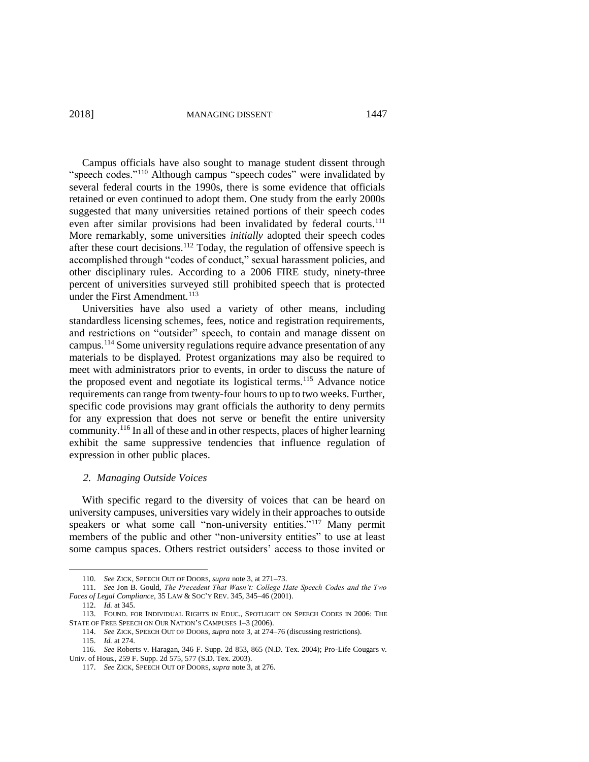2018] MANAGING DISSENT 1447

Campus officials have also sought to manage student dissent through "speech codes."<sup>110</sup> Although campus "speech codes" were invalidated by several federal courts in the 1990s, there is some evidence that officials retained or even continued to adopt them. One study from the early 2000s suggested that many universities retained portions of their speech codes even after similar provisions had been invalidated by federal courts.<sup>111</sup> More remarkably, some universities *initially* adopted their speech codes after these court decisions.<sup>112</sup> Today, the regulation of offensive speech is accomplished through "codes of conduct," sexual harassment policies, and other disciplinary rules. According to a 2006 FIRE study, ninety-three percent of universities surveyed still prohibited speech that is protected under the First Amendment.<sup>113</sup>

Universities have also used a variety of other means, including standardless licensing schemes, fees, notice and registration requirements, and restrictions on "outsider" speech, to contain and manage dissent on campus. <sup>114</sup> Some university regulations require advance presentation of any materials to be displayed. Protest organizations may also be required to meet with administrators prior to events, in order to discuss the nature of the proposed event and negotiate its logistical terms.<sup>115</sup> Advance notice requirements can range from twenty-four hours to up to two weeks. Further, specific code provisions may grant officials the authority to deny permits for any expression that does not serve or benefit the entire university community.<sup>116</sup> In all of these and in other respects, places of higher learning exhibit the same suppressive tendencies that influence regulation of expression in other public places.

## *2. Managing Outside Voices*

With specific regard to the diversity of voices that can be heard on university campuses, universities vary widely in their approaches to outside speakers or what some call "non-university entities."<sup>117</sup> Many permit members of the public and other "non-university entities" to use at least some campus spaces. Others restrict outsiders' access to those invited or

<sup>110.</sup> *See* ZICK, SPEECH OUT OF DOORS, *supra* note [3,](#page-1-0) at 271–73.

<sup>111.</sup> *See* Jon B. Gould, *The Precedent That Wasn't: College Hate Speech Codes and the Two Faces of Legal Compliance*, 35 LAW & SOC'Y REV. 345, 345–46 (2001).

<sup>112.</sup> *Id.* at 345.

<sup>113.</sup> FOUND. FOR INDIVIDUAL RIGHTS IN EDUC., SPOTLIGHT ON SPEECH CODES IN 2006: THE STATE OF FREE SPEECH ON OUR NATION'S CAMPUSES 1–3 (2006).

<sup>114.</sup> *See* ZICK, SPEECH OUT OF DOORS, *supra* not[e 3,](#page-1-0) at 274–76 (discussing restrictions).

<sup>115.</sup> *Id.* at 274.

<sup>116.</sup> *See* Roberts v. Haragan, 346 F. Supp. 2d 853, 865 (N.D. Tex. 2004); Pro-Life Cougars v. Univ. of Hous., 259 F. Supp. 2d 575, 577 (S.D. Tex. 2003).

<sup>117.</sup> *See* ZICK, SPEECH OUT OF DOORS, *supra* note [3,](#page-1-0) at 276.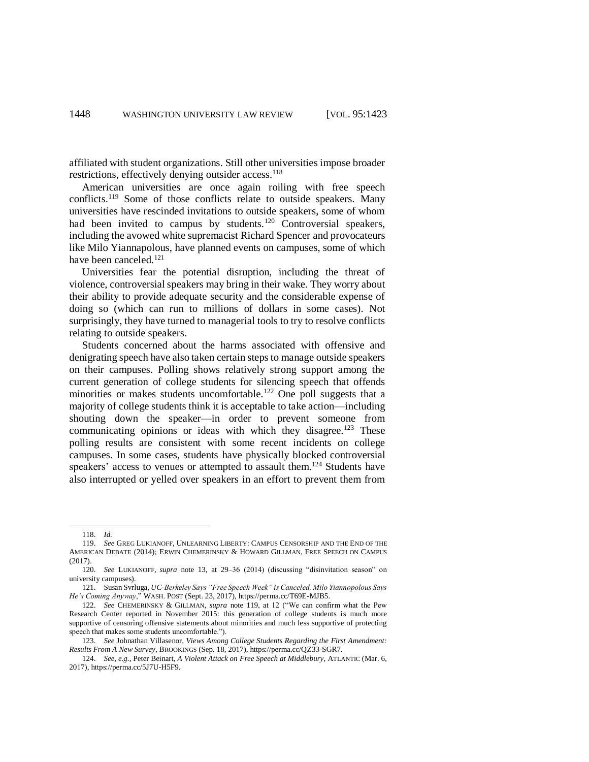affiliated with student organizations. Still other universities impose broader restrictions, effectively denying outsider access.<sup>118</sup>

<span id="page-25-0"></span>American universities are once again roiling with free speech conflicts.<sup>119</sup> Some of those conflicts relate to outside speakers. Many universities have rescinded invitations to outside speakers, some of whom had been invited to campus by students.<sup>120</sup> Controversial speakers, including the avowed white supremacist Richard Spencer and provocateurs like Milo Yiannapolous, have planned events on campuses, some of which have been canceled. 121

Universities fear the potential disruption, including the threat of violence, controversial speakers may bring in their wake. They worry about their ability to provide adequate security and the considerable expense of doing so (which can run to millions of dollars in some cases). Not surprisingly, they have turned to managerial tools to try to resolve conflicts relating to outside speakers.

Students concerned about the harms associated with offensive and denigrating speech have also taken certain steps to manage outside speakers on their campuses. Polling shows relatively strong support among the current generation of college students for silencing speech that offends minorities or makes students uncomfortable.<sup>122</sup> One poll suggests that a majority of college students think it is acceptable to take action—including shouting down the speaker—in order to prevent someone from communicating opinions or ideas with which they disagree.<sup>123</sup> These polling results are consistent with some recent incidents on college campuses. In some cases, students have physically blocked controversial speakers' access to venues or attempted to assault them.<sup>124</sup> Students have also interrupted or yelled over speakers in an effort to prevent them from

<sup>118.</sup> *Id.*

<sup>119.</sup> *See* GREG LUKIANOFF, UNLEARNING LIBERTY: CAMPUS CENSORSHIP AND THE END OF THE AMERICAN DEBATE (2014); ERWIN CHEMERINSKY & HOWARD GILLMAN, FREE SPEECH ON CAMPUS (2017).

<sup>120.</sup> *See* LUKIANOFF, *supra* note [13,](#page-3-1) at 29–36 (2014) (discussing "disinvitation season" on university campuses).

<sup>121.</sup> Susan Svrluga, *UC-Berkeley Says "Free Speech Week" is Canceled. Milo Yiannopolous Says He's Coming Anyway*," WASH. POST (Sept. 23, 2017), https://perma.cc/T69E-MJB5.

<sup>122.</sup> *See* CHEMERINSKY & GILLMAN, *supra* note [119,](#page-25-0) at 12 ("We can confirm what the Pew Research Center reported in November 2015: this generation of college students is much more supportive of censoring offensive statements about minorities and much less supportive of protecting speech that makes some students uncomfortable.").

<sup>123.</sup> *See* Johnathan Villasenor, *Views Among College Students Regarding the First Amendment: Results From A New Survey*, BROOKINGS (Sep. 18, 2017), https://perma.cc/QZ33-SGR7.

<sup>124.</sup> *See*, *e.g.*, Peter Beinart, *A Violent Attack on Free Speech at Middlebury*, ATLANTIC (Mar. 6, 2017), https://perma.cc/5J7U-H5F9.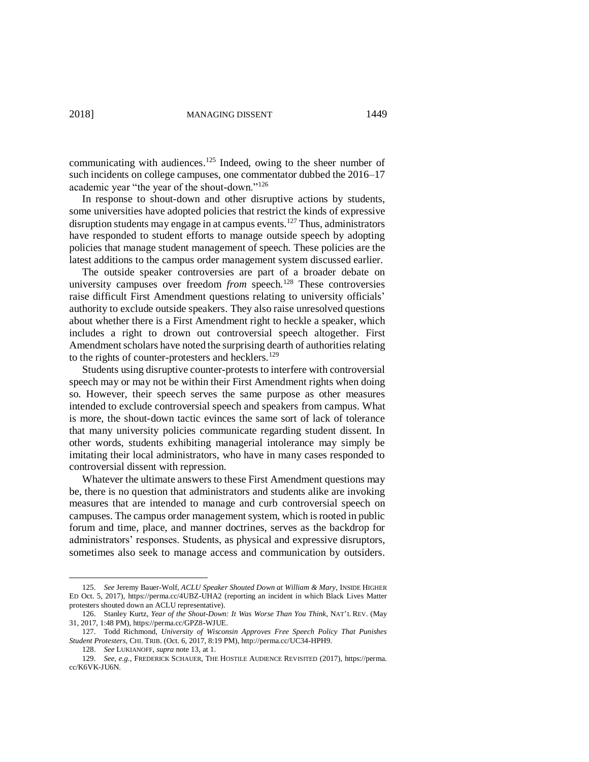communicating with audiences. <sup>125</sup> Indeed, owing to the sheer number of such incidents on college campuses, one commentator dubbed the 2016–17 academic year "the year of the shout-down."<sup>126</sup>

In response to shout-down and other disruptive actions by students, some universities have adopted policies that restrict the kinds of expressive disruption students may engage in at campus events. <sup>127</sup> Thus, administrators have responded to student efforts to manage outside speech by adopting policies that manage student management of speech. These policies are the latest additions to the campus order management system discussed earlier.

The outside speaker controversies are part of a broader debate on university campuses over freedom *from* speech.<sup>128</sup> These controversies raise difficult First Amendment questions relating to university officials' authority to exclude outside speakers. They also raise unresolved questions about whether there is a First Amendment right to heckle a speaker, which includes a right to drown out controversial speech altogether. First Amendment scholars have noted the surprising dearth of authorities relating to the rights of counter-protesters and hecklers.<sup>129</sup>

Students using disruptive counter-protests to interfere with controversial speech may or may not be within their First Amendment rights when doing so. However, their speech serves the same purpose as other measures intended to exclude controversial speech and speakers from campus. What is more, the shout-down tactic evinces the same sort of lack of tolerance that many university policies communicate regarding student dissent. In other words, students exhibiting managerial intolerance may simply be imitating their local administrators, who have in many cases responded to controversial dissent with repression.

Whatever the ultimate answers to these First Amendment questions may be, there is no question that administrators and students alike are invoking measures that are intended to manage and curb controversial speech on campuses. The campus order management system, which is rooted in public forum and time, place, and manner doctrines, serves as the backdrop for administrators' responses. Students, as physical and expressive disruptors, sometimes also seek to manage access and communication by outsiders.

<sup>125.</sup> *See* Jeremy Bauer-Wolf, *ACLU Speaker Shouted Down at William & Mary*, INSIDE HIGHER ED Oct. 5, 2017), https://perma.cc/4UBZ-UHA2 (reporting an incident in which Black Lives Matter protesters shouted down an ACLU representative).

<sup>126.</sup> Stanley Kurtz, *Year of the Shout-Down: It Was Worse Than You Think*, NAT'L REV. (May 31, 2017, 1:48 PM), https://perma.cc/GPZ8-WJUE.

<sup>127.</sup> Todd Richmond, *University of Wisconsin Approves Free Speech Policy That Punishes Student Protesters*, CHI. TRIB. (Oct. 6, 2017, 8:19 PM), http://perma.cc/UC34-HPH9.

<sup>128.</sup> *See* LUKIANOFF, *supra* note [13,](#page-3-1) at 1.

<sup>129.</sup> *See*, *e.g.*, FREDERICK SCHAUER, THE HOSTILE AUDIENCE REVISITED (2017), https://perma. cc/K6VK-JU6N.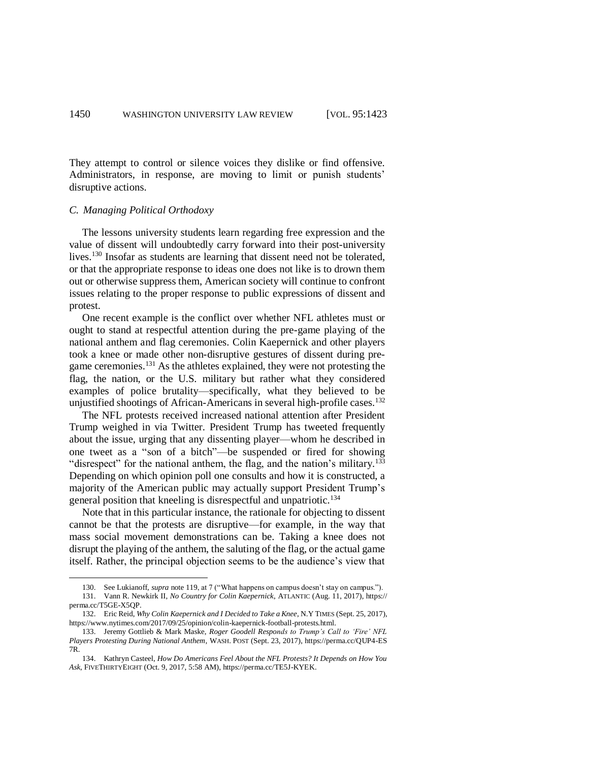They attempt to control or silence voices they dislike or find offensive. Administrators, in response, are moving to limit or punish students' disruptive actions.

## *C. Managing Political Orthodoxy*

 $\overline{a}$ 

The lessons university students learn regarding free expression and the value of dissent will undoubtedly carry forward into their post-university lives.<sup>130</sup> Insofar as students are learning that dissent need not be tolerated, or that the appropriate response to ideas one does not like is to drown them out or otherwise suppress them, American society will continue to confront issues relating to the proper response to public expressions of dissent and protest.

One recent example is the conflict over whether NFL athletes must or ought to stand at respectful attention during the pre-game playing of the national anthem and flag ceremonies. Colin Kaepernick and other players took a knee or made other non-disruptive gestures of dissent during pregame ceremonies.<sup>131</sup> As the athletes explained, they were not protesting the flag, the nation, or the U.S. military but rather what they considered examples of police brutality—specifically, what they believed to be unjustified shootings of African-Americans in several high-profile cases.<sup>132</sup>

The NFL protests received increased national attention after President Trump weighed in via Twitter. President Trump has tweeted frequently about the issue, urging that any dissenting player—whom he described in one tweet as a "son of a bitch"—be suspended or fired for showing "disrespect" for the national anthem, the flag, and the nation's military.<sup>133</sup> Depending on which opinion poll one consults and how it is constructed, a majority of the American public may actually support President Trump's general position that kneeling is disrespectful and unpatriotic. 134

Note that in this particular instance, the rationale for objecting to dissent cannot be that the protests are disruptive—for example, in the way that mass social movement demonstrations can be. Taking a knee does not disrupt the playing of the anthem, the saluting of the flag, or the actual game itself. Rather, the principal objection seems to be the audience's view that

<sup>130.</sup> See Lukianoff, *supra* not[e 119,](#page-25-0) at 7 ("What happens on campus doesn't stay on campus.").

<sup>131.</sup> Vann R. Newkirk II, *No Country for Colin Kaepernick*, ATLANTIC (Aug. 11, 2017), https:// perma.cc/T5GE-X5QP.

<sup>132.</sup> Eric Reid, *Why Colin Kaepernick and I Decided to Take a Knee*, N.Y TIMES (Sept. 25, 2017), https://www.nytimes.com/2017/09/25/opinion/colin-kaepernick-football-protests.html.

<sup>133.</sup> Jeremy Gottlieb & Mark Maske, *Roger Goodell Responds to Trump's Call to 'Fire' NFL Players Protesting During National Anthem*, WASH. POST (Sept. 23, 2017), https://perma.cc/QUP4-ES 7R.

<sup>134.</sup> Kathryn Casteel, *How Do Americans Feel About the NFL Protests? It Depends on How You Ask*, FIVETHIRTYEIGHT (Oct. 9, 2017, 5:58 AM), https://perma.cc/TE5J-KYEK.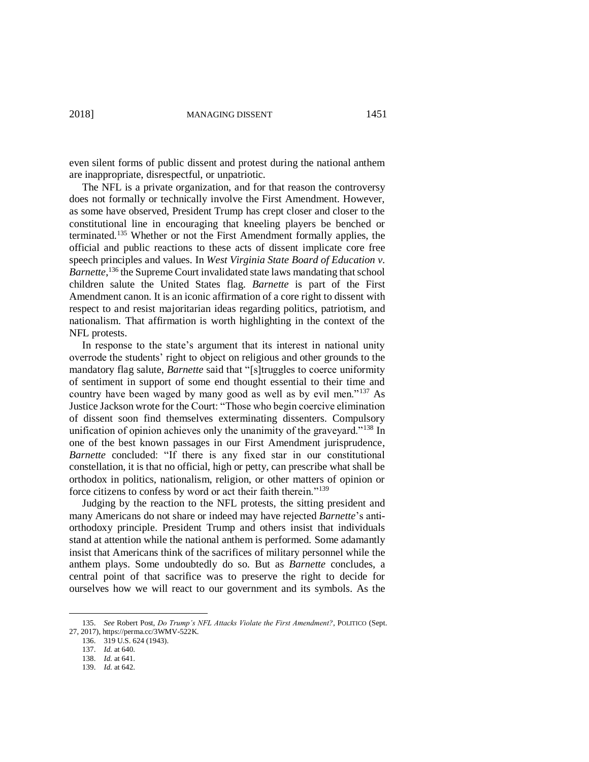even silent forms of public dissent and protest during the national anthem are inappropriate, disrespectful, or unpatriotic.

The NFL is a private organization, and for that reason the controversy does not formally or technically involve the First Amendment. However, as some have observed, President Trump has crept closer and closer to the constitutional line in encouraging that kneeling players be benched or terminated.<sup>135</sup> Whether or not the First Amendment formally applies, the official and public reactions to these acts of dissent implicate core free speech principles and values. In *West Virginia State Board of Education v.*  Barnette,<sup>136</sup> the Supreme Court invalidated state laws mandating that school children salute the United States flag. *Barnette* is part of the First Amendment canon. It is an iconic affirmation of a core right to dissent with respect to and resist majoritarian ideas regarding politics, patriotism, and nationalism. That affirmation is worth highlighting in the context of the NFL protests.

In response to the state's argument that its interest in national unity overrode the students' right to object on religious and other grounds to the mandatory flag salute, *Barnette* said that "[s]truggles to coerce uniformity of sentiment in support of some end thought essential to their time and country have been waged by many good as well as by evil men."<sup>137</sup> As Justice Jackson wrote for the Court: "Those who begin coercive elimination of dissent soon find themselves exterminating dissenters. Compulsory unification of opinion achieves only the unanimity of the graveyard."<sup>138</sup> In one of the best known passages in our First Amendment jurisprudence, *Barnette* concluded: "If there is any fixed star in our constitutional constellation, it is that no official, high or petty, can prescribe what shall be orthodox in politics, nationalism, religion, or other matters of opinion or force citizens to confess by word or act their faith therein."<sup>139</sup>

Judging by the reaction to the NFL protests, the sitting president and many Americans do not share or indeed may have rejected *Barnette*'s antiorthodoxy principle. President Trump and others insist that individuals stand at attention while the national anthem is performed. Some adamantly insist that Americans think of the sacrifices of military personnel while the anthem plays. Some undoubtedly do so. But as *Barnette* concludes, a central point of that sacrifice was to preserve the right to decide for ourselves how we will react to our government and its symbols. As the

<sup>135.</sup> *See* Robert Post, *Do Trump's NFL Attacks Violate the First Amendment?*, POLITICO (Sept. 27, 2017), https://perma.cc/3WMV-522K.

<sup>136.</sup> 319 U.S. 624 (1943).

<sup>137.</sup> *Id.* at 640.

<sup>138.</sup> *Id.* at 641.

<sup>139.</sup> *Id.* at 642.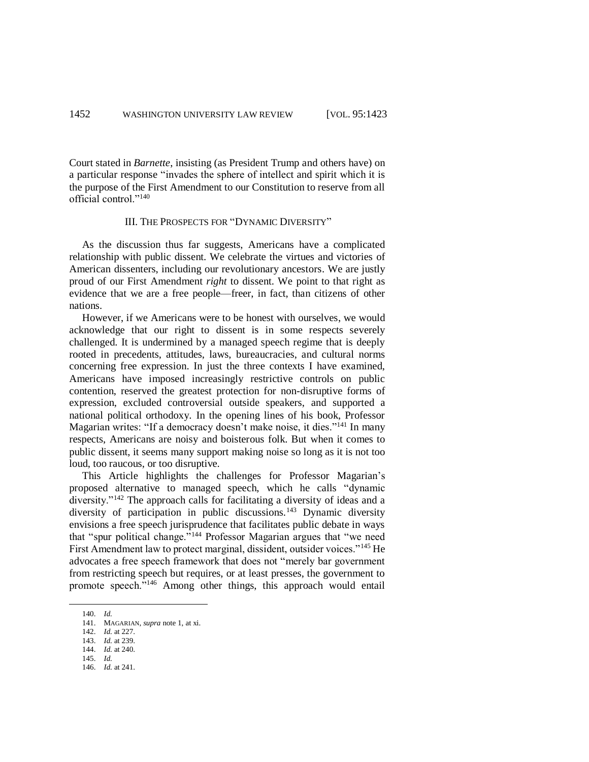Court stated in *Barnette*, insisting (as President Trump and others have) on a particular response "invades the sphere of intellect and spirit which it is the purpose of the First Amendment to our Constitution to reserve from all official control<sup>"140</sup>

# III. THE PROSPECTS FOR "DYNAMIC DIVERSITY"

As the discussion thus far suggests, Americans have a complicated relationship with public dissent. We celebrate the virtues and victories of American dissenters, including our revolutionary ancestors. We are justly proud of our First Amendment *right* to dissent. We point to that right as evidence that we are a free people—freer, in fact, than citizens of other nations.

However, if we Americans were to be honest with ourselves, we would acknowledge that our right to dissent is in some respects severely challenged. It is undermined by a managed speech regime that is deeply rooted in precedents, attitudes, laws, bureaucracies, and cultural norms concerning free expression. In just the three contexts I have examined, Americans have imposed increasingly restrictive controls on public contention, reserved the greatest protection for non-disruptive forms of expression, excluded controversial outside speakers, and supported a national political orthodoxy. In the opening lines of his book, Professor Magarian writes: "If a democracy doesn't make noise, it dies."<sup>141</sup> In many respects, Americans are noisy and boisterous folk. But when it comes to public dissent, it seems many support making noise so long as it is not too loud, too raucous, or too disruptive.

This Article highlights the challenges for Professor Magarian's proposed alternative to managed speech, which he calls "dynamic diversity."<sup>142</sup> The approach calls for facilitating a diversity of ideas and a diversity of participation in public discussions.<sup>143</sup> Dynamic diversity envisions a free speech jurisprudence that facilitates public debate in ways that "spur political change."<sup>144</sup> Professor Magarian argues that "we need First Amendment law to protect marginal, dissident, outsider voices."<sup>145</sup> He advocates a free speech framework that does not "merely bar government from restricting speech but requires, or at least presses, the government to promote speech."<sup>146</sup> Among other things, this approach would entail

<sup>140.</sup> *Id.*

<sup>141.</sup> MAGARIAN, *supra* note [1,](#page-0-0) at xi.

<sup>142.</sup> *Id.* at 227.

<sup>143.</sup> *Id.* at 239.

<sup>144.</sup> *Id.* at 240.

<sup>145.</sup> *Id.*

<sup>146.</sup> *Id.* at 241.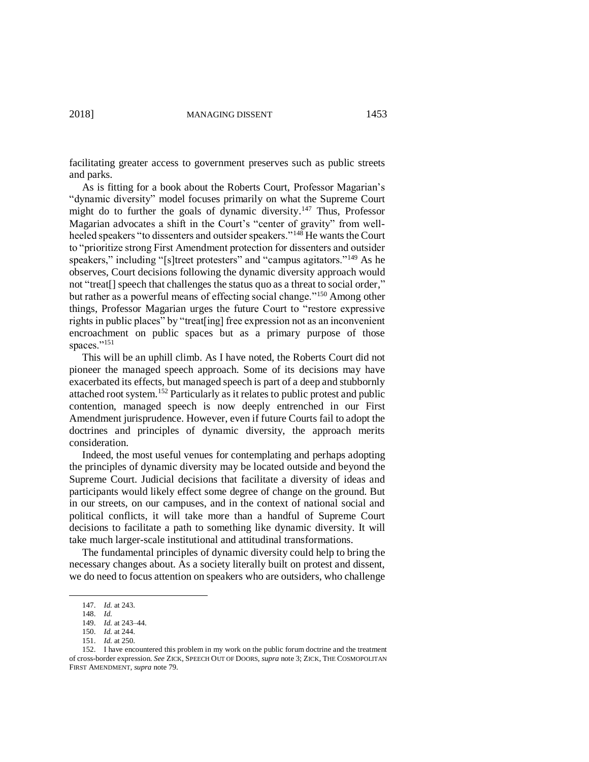facilitating greater access to government preserves such as public streets and parks.

As is fitting for a book about the Roberts Court, Professor Magarian's "dynamic diversity" model focuses primarily on what the Supreme Court might do to further the goals of dynamic diversity.<sup>147</sup> Thus, Professor Magarian advocates a shift in the Court's "center of gravity" from wellheeled speakers "to dissenters and outsider speakers."<sup>148</sup> He wants the Court to "prioritize strong First Amendment protection for dissenters and outsider speakers," including "[s]treet protesters" and "campus agitators."<sup>149</sup> As he observes, Court decisions following the dynamic diversity approach would not "treat[] speech that challenges the status quo as a threat to social order," but rather as a powerful means of effecting social change."<sup>150</sup> Among other things, Professor Magarian urges the future Court to "restore expressive rights in public places" by "treat[ing] free expression not as an inconvenient encroachment on public spaces but as a primary purpose of those spaces."<sup>151</sup>

This will be an uphill climb. As I have noted, the Roberts Court did not pioneer the managed speech approach. Some of its decisions may have exacerbated its effects, but managed speech is part of a deep and stubbornly attached root system.<sup>152</sup> Particularly as it relates to public protest and public contention, managed speech is now deeply entrenched in our First Amendment jurisprudence. However, even if future Courts fail to adopt the doctrines and principles of dynamic diversity, the approach merits consideration.

Indeed, the most useful venues for contemplating and perhaps adopting the principles of dynamic diversity may be located outside and beyond the Supreme Court. Judicial decisions that facilitate a diversity of ideas and participants would likely effect some degree of change on the ground. But in our streets, on our campuses, and in the context of national social and political conflicts, it will take more than a handful of Supreme Court decisions to facilitate a path to something like dynamic diversity. It will take much larger-scale institutional and attitudinal transformations.

The fundamental principles of dynamic diversity could help to bring the necessary changes about. As a society literally built on protest and dissent, we do need to focus attention on speakers who are outsiders, who challenge

<sup>147.</sup> *Id.* at 243.

<sup>148.</sup> *Id.*

<sup>149.</sup> *Id.* at 243–44.

<sup>150.</sup> *Id.* at 244.

<sup>151.</sup> *Id.* at 250.

<sup>152.</sup> I have encountered this problem in my work on the public forum doctrine and the treatment of cross-border expression. *See* ZICK, SPEECH OUT OF DOORS, *supra* not[e 3;](#page-1-0) ZICK, THE COSMOPOLITAN FIRST AMENDMENT, *supra* not[e 79.](#page-15-0)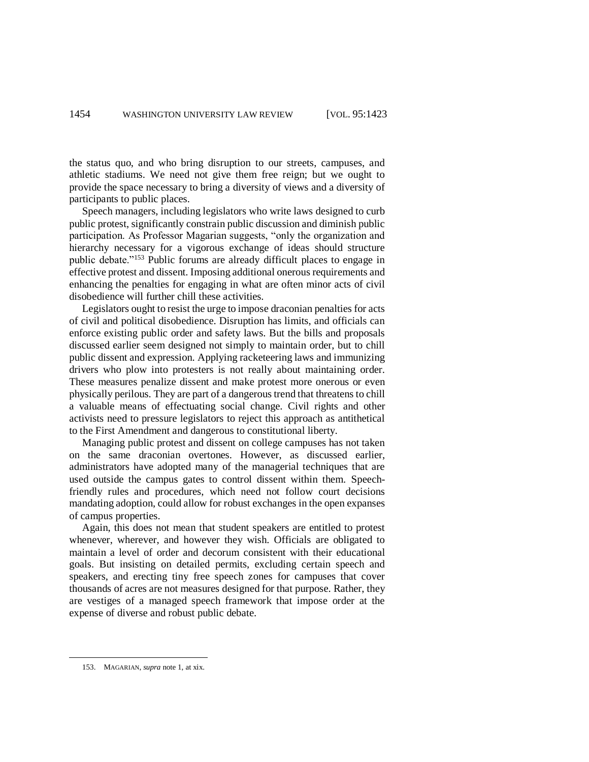the status quo, and who bring disruption to our streets, campuses, and athletic stadiums. We need not give them free reign; but we ought to provide the space necessary to bring a diversity of views and a diversity of participants to public places.

Speech managers, including legislators who write laws designed to curb public protest, significantly constrain public discussion and diminish public participation. As Professor Magarian suggests, "only the organization and hierarchy necessary for a vigorous exchange of ideas should structure public debate."<sup>153</sup> Public forums are already difficult places to engage in effective protest and dissent. Imposing additional onerous requirements and enhancing the penalties for engaging in what are often minor acts of civil disobedience will further chill these activities.

Legislators ought to resist the urge to impose draconian penalties for acts of civil and political disobedience. Disruption has limits, and officials can enforce existing public order and safety laws. But the bills and proposals discussed earlier seem designed not simply to maintain order, but to chill public dissent and expression. Applying racketeering laws and immunizing drivers who plow into protesters is not really about maintaining order. These measures penalize dissent and make protest more onerous or even physically perilous. They are part of a dangerous trend that threatens to chill a valuable means of effectuating social change. Civil rights and other activists need to pressure legislators to reject this approach as antithetical to the First Amendment and dangerous to constitutional liberty.

Managing public protest and dissent on college campuses has not taken on the same draconian overtones. However, as discussed earlier, administrators have adopted many of the managerial techniques that are used outside the campus gates to control dissent within them. Speechfriendly rules and procedures, which need not follow court decisions mandating adoption, could allow for robust exchanges in the open expanses of campus properties.

Again, this does not mean that student speakers are entitled to protest whenever, wherever, and however they wish. Officials are obligated to maintain a level of order and decorum consistent with their educational goals. But insisting on detailed permits, excluding certain speech and speakers, and erecting tiny free speech zones for campuses that cover thousands of acres are not measures designed for that purpose. Rather, they are vestiges of a managed speech framework that impose order at the expense of diverse and robust public debate.

<sup>153.</sup> MAGARIAN, *supra* note [1,](#page-0-0) at xix.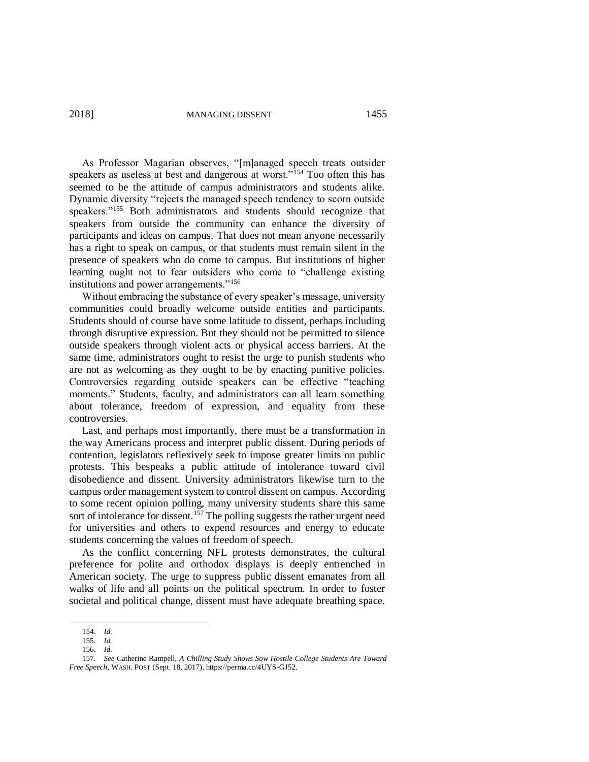2018] MANAGING DISSENT 1455

As Professor Magarian observes, "[m]anaged speech treats outsider speakers as useless at best and dangerous at worst."<sup>154</sup> Too often this has seemed to be the attitude of campus administrators and students alike. Dynamic diversity "rejects the managed speech tendency to scorn outside speakers."<sup>155</sup> Both administrators and students should recognize that speakers from outside the community can enhance the diversity of participants and ideas on campus. That does not mean anyone necessarily has a right to speak on campus, or that students must remain silent in the presence of speakers who do come to campus. But institutions of higher learning ought not to fear outsiders who come to "challenge existing institutions and power arrangements."<sup>156</sup>

Without embracing the substance of every speaker's message, university communities could broadly welcome outside entities and participants. Students should of course have some latitude to dissent, perhaps including through disruptive expression. But they should not be permitted to silence outside speakers through violent acts or physical access barriers. At the same time, administrators ought to resist the urge to punish students who are not as welcoming as they ought to be by enacting punitive policies. Controversies regarding outside speakers can be effective "teaching moments." Students, faculty, and administrators can all learn something about tolerance, freedom of expression, and equality from these controversies.

Last, and perhaps most importantly, there must be a transformation in the way Americans process and interpret public dissent. During periods of contention, legislators reflexively seek to impose greater limits on public protests. This bespeaks a public attitude of intolerance toward civil disobedience and dissent. University administrators likewise turn to the campus order management system to control dissent on campus. According to some recent opinion polling, many university students share this same sort of intolerance for dissent.<sup>157</sup> The polling suggests the rather urgent need for universities and others to expend resources and energy to educate students concerning the values of freedom of speech.

As the conflict concerning NFL protests demonstrates, the cultural preference for polite and orthodox displays is deeply entrenched in American society. The urge to suppress public dissent emanates from all walks of life and all points on the political spectrum. In order to foster societal and political change, dissent must have adequate breathing space.

<sup>154.</sup> *Id.*

<sup>155.</sup> *Id.* 156. *Id.*

<sup>157.</sup> *See* Catherine Rampell, *A Chilling Study Shows Sow Hostile College Students Are Toward Free Speech*, WASH. POST (Sept. 18, 2017), https://perma.cc/4UYS-GJ52.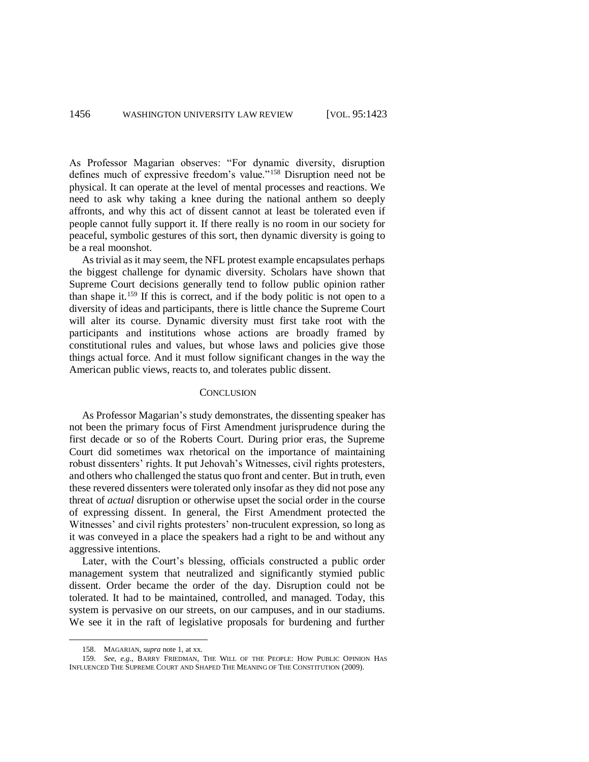As Professor Magarian observes: "For dynamic diversity, disruption defines much of expressive freedom's value."<sup>158</sup> Disruption need not be physical. It can operate at the level of mental processes and reactions. We need to ask why taking a knee during the national anthem so deeply affronts, and why this act of dissent cannot at least be tolerated even if people cannot fully support it. If there really is no room in our society for peaceful, symbolic gestures of this sort, then dynamic diversity is going to be a real moonshot.

As trivial as it may seem, the NFL protest example encapsulates perhaps the biggest challenge for dynamic diversity. Scholars have shown that Supreme Court decisions generally tend to follow public opinion rather than shape it.<sup>159</sup> If this is correct, and if the body politic is not open to a diversity of ideas and participants, there is little chance the Supreme Court will alter its course. Dynamic diversity must first take root with the participants and institutions whose actions are broadly framed by constitutional rules and values, but whose laws and policies give those things actual force. And it must follow significant changes in the way the American public views, reacts to, and tolerates public dissent.

#### **CONCLUSION**

As Professor Magarian's study demonstrates, the dissenting speaker has not been the primary focus of First Amendment jurisprudence during the first decade or so of the Roberts Court. During prior eras, the Supreme Court did sometimes wax rhetorical on the importance of maintaining robust dissenters' rights. It put Jehovah's Witnesses, civil rights protesters, and others who challenged the status quo front and center. But in truth, even these revered dissenters were tolerated only insofar as they did not pose any threat of *actual* disruption or otherwise upset the social order in the course of expressing dissent. In general, the First Amendment protected the Witnesses' and civil rights protesters' non-truculent expression, so long as it was conveyed in a place the speakers had a right to be and without any aggressive intentions.

Later, with the Court's blessing, officials constructed a public order management system that neutralized and significantly stymied public dissent. Order became the order of the day. Disruption could not be tolerated. It had to be maintained, controlled, and managed. Today, this system is pervasive on our streets, on our campuses, and in our stadiums. We see it in the raft of legislative proposals for burdening and further

<sup>158.</sup> MAGARIAN, *supra* note [1,](#page-0-0) at xx.

<sup>159.</sup> *See*, *e.g.*, BARRY FRIEDMAN, THE WILL OF THE PEOPLE: HOW PUBLIC OPINION HAS INFLUENCED THE SUPREME COURT AND SHAPED THE MEANING OF THE CONSTITUTION (2009).